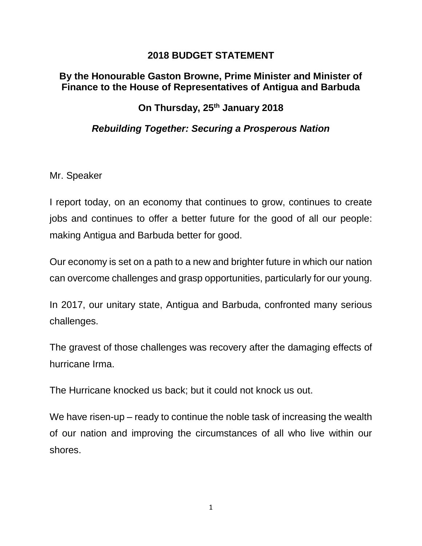#### **2018 BUDGET STATEMENT**

#### **By the Honourable Gaston Browne, Prime Minister and Minister of Finance to the House of Representatives of Antigua and Barbuda**

## **On Thursday, 25th January 2018**

### *Rebuilding Together: Securing a Prosperous Nation*

Mr. Speaker

I report today, on an economy that continues to grow, continues to create jobs and continues to offer a better future for the good of all our people: making Antigua and Barbuda better for good.

Our economy is set on a path to a new and brighter future in which our nation can overcome challenges and grasp opportunities, particularly for our young.

In 2017, our unitary state, Antigua and Barbuda, confronted many serious challenges.

The gravest of those challenges was recovery after the damaging effects of hurricane Irma.

The Hurricane knocked us back; but it could not knock us out.

We have risen-up – ready to continue the noble task of increasing the wealth of our nation and improving the circumstances of all who live within our shores.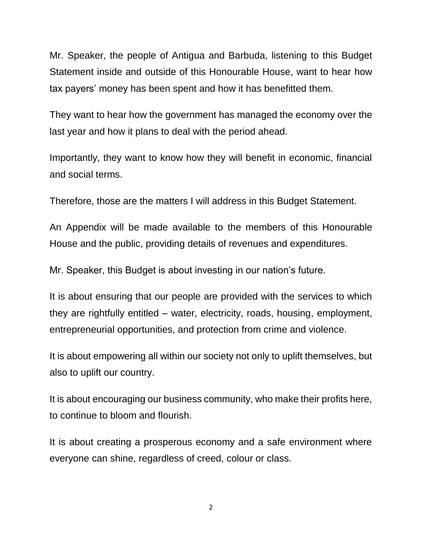Mr. Speaker, the people of Antigua and Barbuda, listening to this Budget Statement inside and outside of this Honourable House, want to hear how tax payers' money has been spent and how it has benefitted them.

They want to hear how the government has managed the economy over the last year and how it plans to deal with the period ahead.

Importantly, they want to know how they will benefit in economic, financial and social terms.

Therefore, those are the matters I will address in this Budget Statement.

An Appendix will be made available to the members of this Honourable House and the public, providing details of revenues and expenditures.

Mr. Speaker, this Budget is about investing in our nation's future.

It is about ensuring that our people are provided with the services to which they are rightfully entitled – water, electricity, roads, housing, employment, entrepreneurial opportunities, and protection from crime and violence.

It is about empowering all within our society not only to uplift themselves, but also to uplift our country.

It is about encouraging our business community, who make their profits here, to continue to bloom and flourish.

It is about creating a prosperous economy and a safe environment where everyone can shine, regardless of creed, colour or class.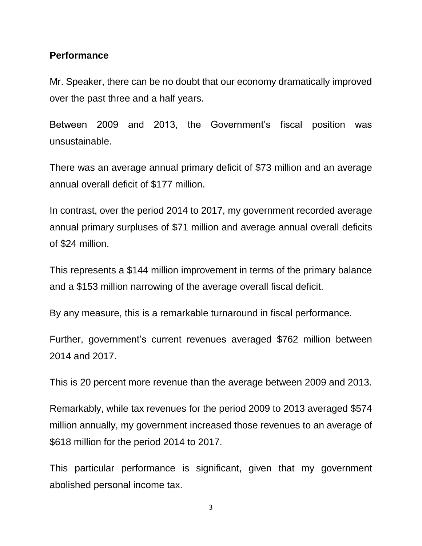#### **Performance**

Mr. Speaker, there can be no doubt that our economy dramatically improved over the past three and a half years.

Between 2009 and 2013, the Government's fiscal position was unsustainable.

There was an average annual primary deficit of \$73 million and an average annual overall deficit of \$177 million.

In contrast, over the period 2014 to 2017, my government recorded average annual primary surpluses of \$71 million and average annual overall deficits of \$24 million.

This represents a \$144 million improvement in terms of the primary balance and a \$153 million narrowing of the average overall fiscal deficit.

By any measure, this is a remarkable turnaround in fiscal performance.

Further, government's current revenues averaged \$762 million between 2014 and 2017.

This is 20 percent more revenue than the average between 2009 and 2013.

Remarkably, while tax revenues for the period 2009 to 2013 averaged \$574 million annually, my government increased those revenues to an average of \$618 million for the period 2014 to 2017.

This particular performance is significant, given that my government abolished personal income tax.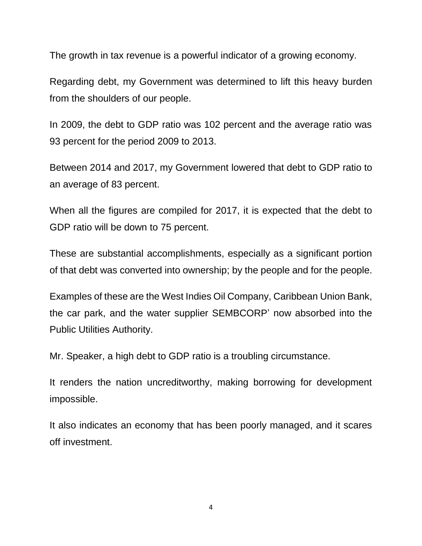The growth in tax revenue is a powerful indicator of a growing economy.

Regarding debt, my Government was determined to lift this heavy burden from the shoulders of our people.

In 2009, the debt to GDP ratio was 102 percent and the average ratio was 93 percent for the period 2009 to 2013.

Between 2014 and 2017, my Government lowered that debt to GDP ratio to an average of 83 percent.

When all the figures are compiled for 2017, it is expected that the debt to GDP ratio will be down to 75 percent.

These are substantial accomplishments, especially as a significant portion of that debt was converted into ownership; by the people and for the people.

Examples of these are the West Indies Oil Company, Caribbean Union Bank, the car park, and the water supplier SEMBCORP' now absorbed into the Public Utilities Authority.

Mr. Speaker, a high debt to GDP ratio is a troubling circumstance.

It renders the nation uncreditworthy, making borrowing for development impossible.

It also indicates an economy that has been poorly managed, and it scares off investment.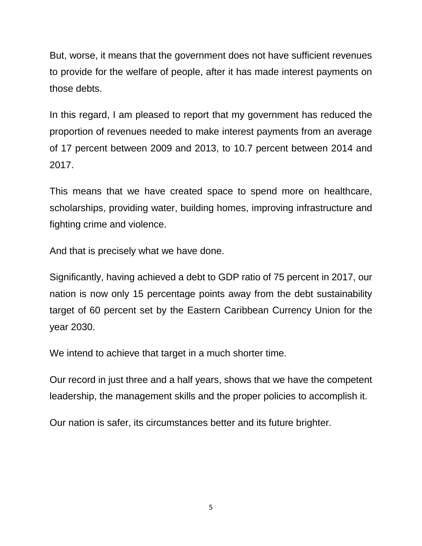But, worse, it means that the government does not have sufficient revenues to provide for the welfare of people, after it has made interest payments on those debts.

In this regard, I am pleased to report that my government has reduced the proportion of revenues needed to make interest payments from an average of 17 percent between 2009 and 2013, to 10.7 percent between 2014 and 2017.

This means that we have created space to spend more on healthcare, scholarships, providing water, building homes, improving infrastructure and fighting crime and violence.

And that is precisely what we have done.

Significantly, having achieved a debt to GDP ratio of 75 percent in 2017, our nation is now only 15 percentage points away from the debt sustainability target of 60 percent set by the Eastern Caribbean Currency Union for the year 2030.

We intend to achieve that target in a much shorter time.

Our record in just three and a half years, shows that we have the competent leadership, the management skills and the proper policies to accomplish it.

Our nation is safer, its circumstances better and its future brighter.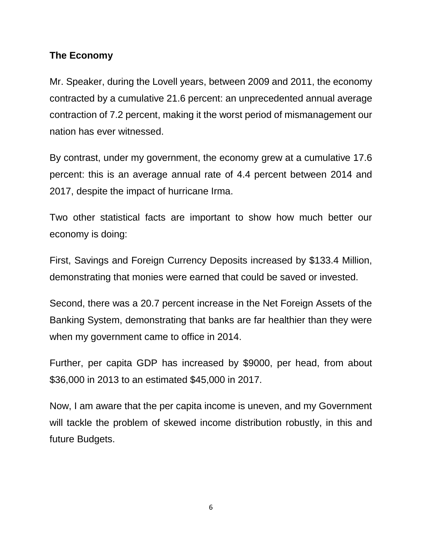#### **The Economy**

Mr. Speaker, during the Lovell years, between 2009 and 2011, the economy contracted by a cumulative 21.6 percent: an unprecedented annual average contraction of 7.2 percent, making it the worst period of mismanagement our nation has ever witnessed.

By contrast, under my government, the economy grew at a cumulative 17.6 percent: this is an average annual rate of 4.4 percent between 2014 and 2017, despite the impact of hurricane Irma.

Two other statistical facts are important to show how much better our economy is doing:

First, Savings and Foreign Currency Deposits increased by \$133.4 Million, demonstrating that monies were earned that could be saved or invested.

Second, there was a 20.7 percent increase in the Net Foreign Assets of the Banking System, demonstrating that banks are far healthier than they were when my government came to office in 2014.

Further, per capita GDP has increased by \$9000, per head, from about \$36,000 in 2013 to an estimated \$45,000 in 2017.

Now, I am aware that the per capita income is uneven, and my Government will tackle the problem of skewed income distribution robustly, in this and future Budgets.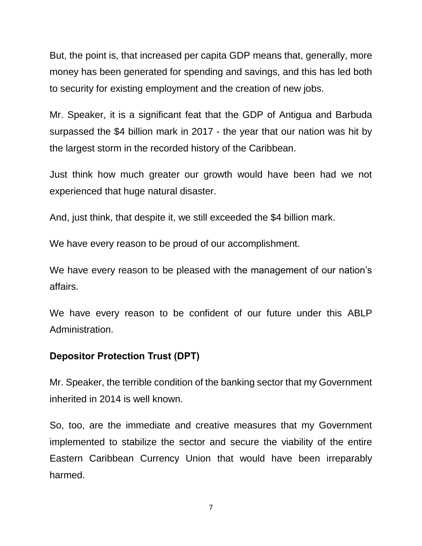But, the point is, that increased per capita GDP means that, generally, more money has been generated for spending and savings, and this has led both to security for existing employment and the creation of new jobs.

Mr. Speaker, it is a significant feat that the GDP of Antigua and Barbuda surpassed the \$4 billion mark in 2017 - the year that our nation was hit by the largest storm in the recorded history of the Caribbean.

Just think how much greater our growth would have been had we not experienced that huge natural disaster.

And, just think, that despite it, we still exceeded the \$4 billion mark.

We have every reason to be proud of our accomplishment.

We have every reason to be pleased with the management of our nation's affairs.

We have every reason to be confident of our future under this ABLP Administration.

## **Depositor Protection Trust (DPT)**

Mr. Speaker, the terrible condition of the banking sector that my Government inherited in 2014 is well known.

So, too, are the immediate and creative measures that my Government implemented to stabilize the sector and secure the viability of the entire Eastern Caribbean Currency Union that would have been irreparably harmed.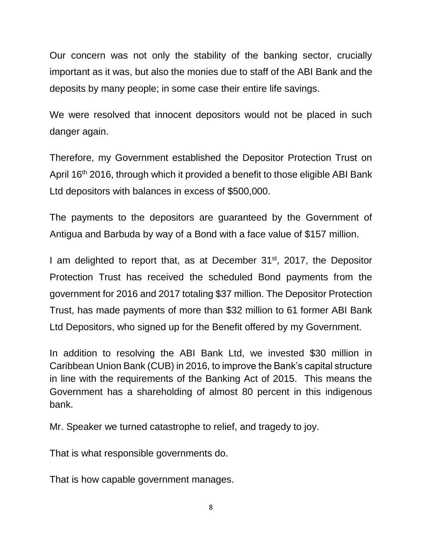Our concern was not only the stability of the banking sector, crucially important as it was, but also the monies due to staff of the ABI Bank and the deposits by many people; in some case their entire life savings.

We were resolved that innocent depositors would not be placed in such danger again.

Therefore, my Government established the Depositor Protection Trust on April 16<sup>th</sup> 2016, through which it provided a benefit to those eligible ABI Bank Ltd depositors with balances in excess of \$500,000.

The payments to the depositors are guaranteed by the Government of Antigua and Barbuda by way of a Bond with a face value of \$157 million.

I am delighted to report that, as at December  $31<sup>st</sup>$ , 2017, the Depositor Protection Trust has received the scheduled Bond payments from the government for 2016 and 2017 totaling \$37 million. The Depositor Protection Trust, has made payments of more than \$32 million to 61 former ABI Bank Ltd Depositors, who signed up for the Benefit offered by my Government.

In addition to resolving the ABI Bank Ltd, we invested \$30 million in Caribbean Union Bank (CUB) in 2016, to improve the Bank's capital structure in line with the requirements of the Banking Act of 2015. This means the Government has a shareholding of almost 80 percent in this indigenous bank.

Mr. Speaker we turned catastrophe to relief, and tragedy to joy.

That is what responsible governments do.

That is how capable government manages.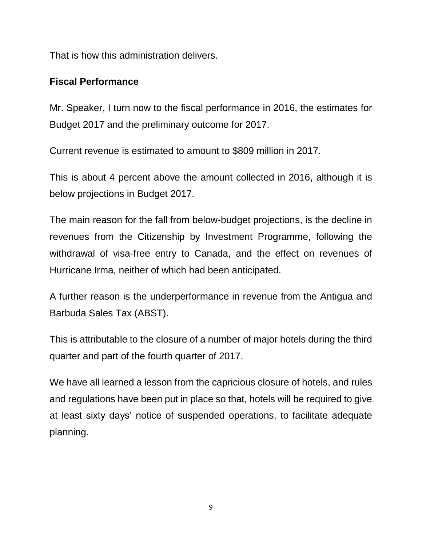That is how this administration delivers.

## **Fiscal Performance**

Mr. Speaker, I turn now to the fiscal performance in 2016, the estimates for Budget 2017 and the preliminary outcome for 2017.

Current revenue is estimated to amount to \$809 million in 2017.

This is about 4 percent above the amount collected in 2016, although it is below projections in Budget 2017.

The main reason for the fall from below-budget projections, is the decline in revenues from the Citizenship by Investment Programme, following the withdrawal of visa-free entry to Canada, and the effect on revenues of Hurricane Irma, neither of which had been anticipated.

A further reason is the underperformance in revenue from the Antigua and Barbuda Sales Tax (ABST).

This is attributable to the closure of a number of major hotels during the third quarter and part of the fourth quarter of 2017.

We have all learned a lesson from the capricious closure of hotels, and rules and regulations have been put in place so that, hotels will be required to give at least sixty days' notice of suspended operations, to facilitate adequate planning.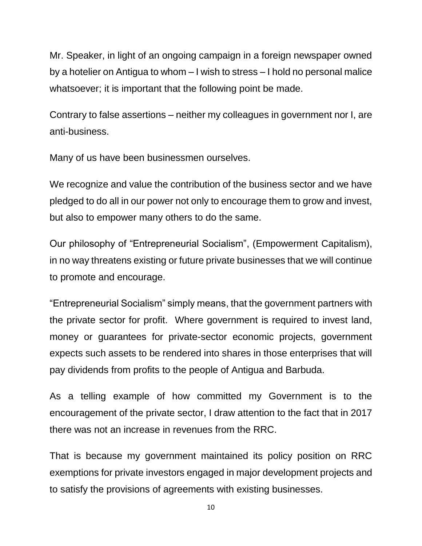Mr. Speaker, in light of an ongoing campaign in a foreign newspaper owned by a hotelier on Antigua to whom – I wish to stress – I hold no personal malice whatsoever; it is important that the following point be made.

Contrary to false assertions – neither my colleagues in government nor I, are anti-business.

Many of us have been businessmen ourselves.

We recognize and value the contribution of the business sector and we have pledged to do all in our power not only to encourage them to grow and invest, but also to empower many others to do the same.

Our philosophy of "Entrepreneurial Socialism", (Empowerment Capitalism), in no way threatens existing or future private businesses that we will continue to promote and encourage.

"Entrepreneurial Socialism" simply means, that the government partners with the private sector for profit. Where government is required to invest land, money or guarantees for private-sector economic projects, government expects such assets to be rendered into shares in those enterprises that will pay dividends from profits to the people of Antigua and Barbuda.

As a telling example of how committed my Government is to the encouragement of the private sector, I draw attention to the fact that in 2017 there was not an increase in revenues from the RRC.

That is because my government maintained its policy position on RRC exemptions for private investors engaged in major development projects and to satisfy the provisions of agreements with existing businesses.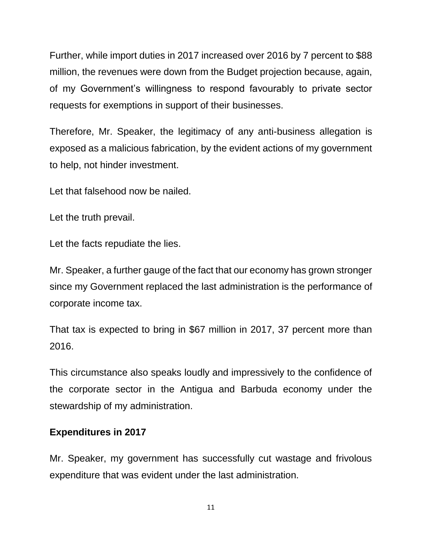Further, while import duties in 2017 increased over 2016 by 7 percent to \$88 million, the revenues were down from the Budget projection because, again, of my Government's willingness to respond favourably to private sector requests for exemptions in support of their businesses.

Therefore, Mr. Speaker, the legitimacy of any anti-business allegation is exposed as a malicious fabrication, by the evident actions of my government to help, not hinder investment.

Let that falsehood now be nailed.

Let the truth prevail.

Let the facts repudiate the lies.

Mr. Speaker, a further gauge of the fact that our economy has grown stronger since my Government replaced the last administration is the performance of corporate income tax.

That tax is expected to bring in \$67 million in 2017, 37 percent more than 2016.

This circumstance also speaks loudly and impressively to the confidence of the corporate sector in the Antigua and Barbuda economy under the stewardship of my administration.

## **Expenditures in 2017**

Mr. Speaker, my government has successfully cut wastage and frivolous expenditure that was evident under the last administration.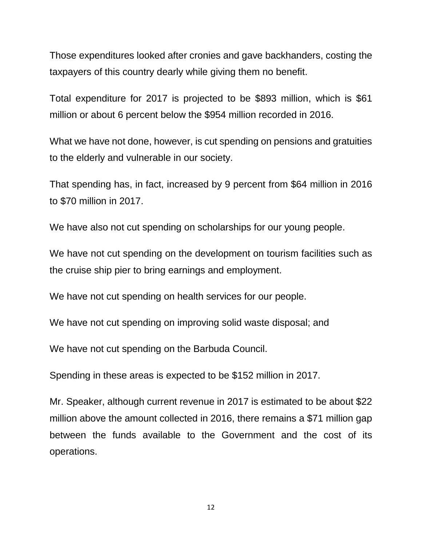Those expenditures looked after cronies and gave backhanders, costing the taxpayers of this country dearly while giving them no benefit.

Total expenditure for 2017 is projected to be \$893 million, which is \$61 million or about 6 percent below the \$954 million recorded in 2016.

What we have not done, however, is cut spending on pensions and gratuities to the elderly and vulnerable in our society.

That spending has, in fact, increased by 9 percent from \$64 million in 2016 to \$70 million in 2017.

We have also not cut spending on scholarships for our young people.

We have not cut spending on the development on tourism facilities such as the cruise ship pier to bring earnings and employment.

We have not cut spending on health services for our people.

We have not cut spending on improving solid waste disposal; and

We have not cut spending on the Barbuda Council.

Spending in these areas is expected to be \$152 million in 2017.

Mr. Speaker, although current revenue in 2017 is estimated to be about \$22 million above the amount collected in 2016, there remains a \$71 million gap between the funds available to the Government and the cost of its operations.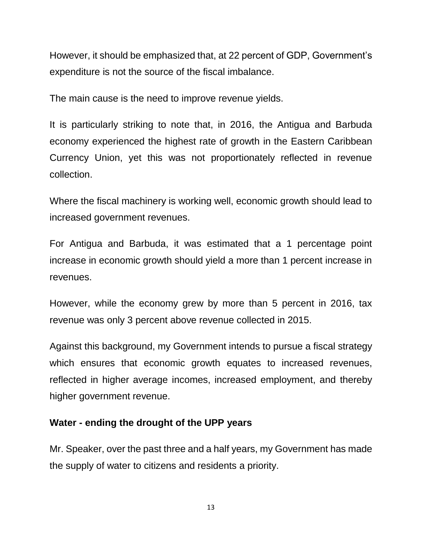However, it should be emphasized that, at 22 percent of GDP, Government's expenditure is not the source of the fiscal imbalance.

The main cause is the need to improve revenue yields.

It is particularly striking to note that, in 2016, the Antigua and Barbuda economy experienced the highest rate of growth in the Eastern Caribbean Currency Union, yet this was not proportionately reflected in revenue collection.

Where the fiscal machinery is working well, economic growth should lead to increased government revenues.

For Antigua and Barbuda, it was estimated that a 1 percentage point increase in economic growth should yield a more than 1 percent increase in revenues.

However, while the economy grew by more than 5 percent in 2016, tax revenue was only 3 percent above revenue collected in 2015.

Against this background, my Government intends to pursue a fiscal strategy which ensures that economic growth equates to increased revenues, reflected in higher average incomes, increased employment, and thereby higher government revenue.

#### **Water - ending the drought of the UPP years**

Mr. Speaker, over the past three and a half years, my Government has made the supply of water to citizens and residents a priority.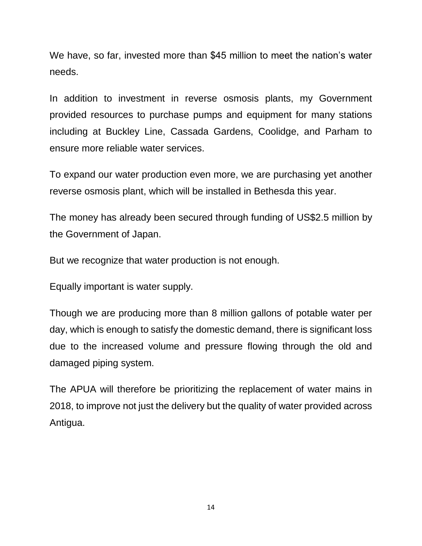We have, so far, invested more than \$45 million to meet the nation's water needs.

In addition to investment in reverse osmosis plants, my Government provided resources to purchase pumps and equipment for many stations including at Buckley Line, Cassada Gardens, Coolidge, and Parham to ensure more reliable water services.

To expand our water production even more, we are purchasing yet another reverse osmosis plant, which will be installed in Bethesda this year.

The money has already been secured through funding of US\$2.5 million by the Government of Japan.

But we recognize that water production is not enough.

Equally important is water supply.

Though we are producing more than 8 million gallons of potable water per day, which is enough to satisfy the domestic demand, there is significant loss due to the increased volume and pressure flowing through the old and damaged piping system.

The APUA will therefore be prioritizing the replacement of water mains in 2018, to improve not just the delivery but the quality of water provided across Antigua.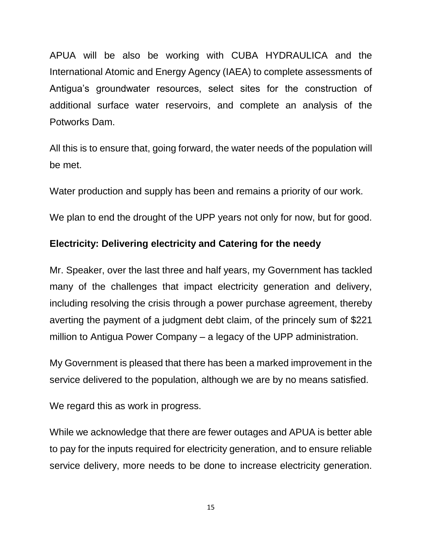APUA will be also be working with CUBA HYDRAULICA and the International Atomic and Energy Agency (IAEA) to complete assessments of Antigua's groundwater resources, select sites for the construction of additional surface water reservoirs, and complete an analysis of the Potworks Dam.

All this is to ensure that, going forward, the water needs of the population will be met.

Water production and supply has been and remains a priority of our work.

We plan to end the drought of the UPP years not only for now, but for good.

## **Electricity: Delivering electricity and Catering for the needy**

Mr. Speaker, over the last three and half years, my Government has tackled many of the challenges that impact electricity generation and delivery, including resolving the crisis through a power purchase agreement, thereby averting the payment of a judgment debt claim, of the princely sum of \$221 million to Antigua Power Company – a legacy of the UPP administration.

My Government is pleased that there has been a marked improvement in the service delivered to the population, although we are by no means satisfied.

We regard this as work in progress.

While we acknowledge that there are fewer outages and APUA is better able to pay for the inputs required for electricity generation, and to ensure reliable service delivery, more needs to be done to increase electricity generation.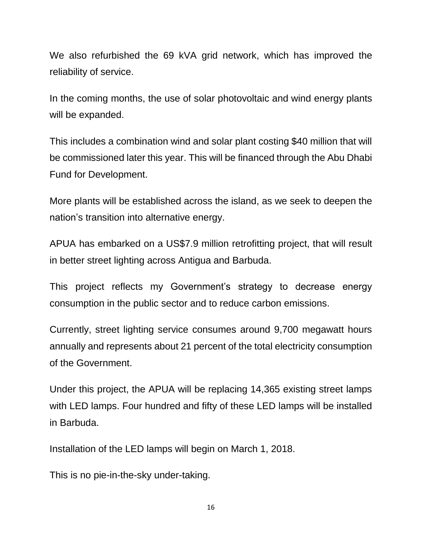We also refurbished the 69 kVA grid network, which has improved the reliability of service.

In the coming months, the use of solar photovoltaic and wind energy plants will be expanded.

This includes a combination wind and solar plant costing \$40 million that will be commissioned later this year. This will be financed through the Abu Dhabi Fund for Development.

More plants will be established across the island, as we seek to deepen the nation's transition into alternative energy.

APUA has embarked on a US\$7.9 million retrofitting project, that will result in better street lighting across Antigua and Barbuda.

This project reflects my Government's strategy to decrease energy consumption in the public sector and to reduce carbon emissions.

Currently, street lighting service consumes around 9,700 megawatt hours annually and represents about 21 percent of the total electricity consumption of the Government.

Under this project, the APUA will be replacing 14,365 existing street lamps with LED lamps. Four hundred and fifty of these LED lamps will be installed in Barbuda.

Installation of the LED lamps will begin on March 1, 2018.

This is no pie-in-the-sky under-taking.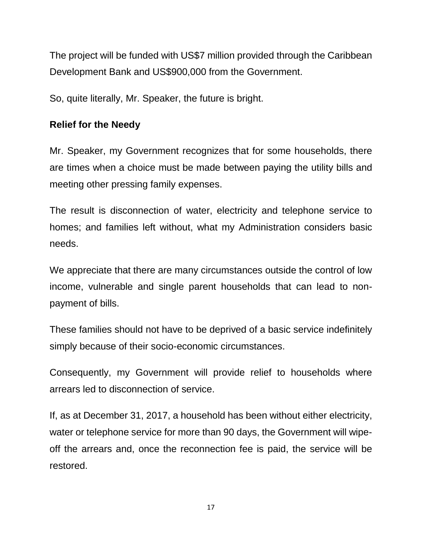The project will be funded with US\$7 million provided through the Caribbean Development Bank and US\$900,000 from the Government.

So, quite literally, Mr. Speaker, the future is bright.

## **Relief for the Needy**

Mr. Speaker, my Government recognizes that for some households, there are times when a choice must be made between paying the utility bills and meeting other pressing family expenses.

The result is disconnection of water, electricity and telephone service to homes; and families left without, what my Administration considers basic needs.

We appreciate that there are many circumstances outside the control of low income, vulnerable and single parent households that can lead to nonpayment of bills.

These families should not have to be deprived of a basic service indefinitely simply because of their socio-economic circumstances.

Consequently, my Government will provide relief to households where arrears led to disconnection of service.

If, as at December 31, 2017, a household has been without either electricity, water or telephone service for more than 90 days, the Government will wipeoff the arrears and, once the reconnection fee is paid, the service will be restored.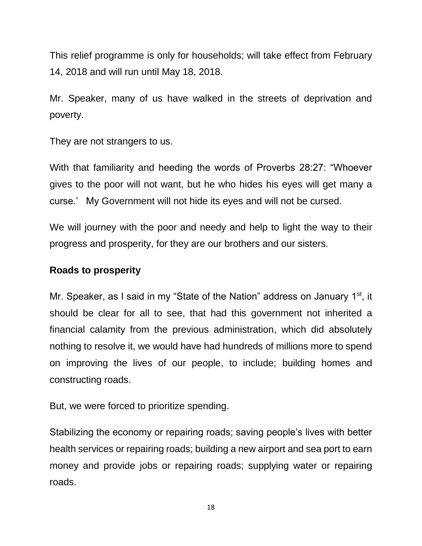This relief programme is only for households; will take effect from February 14, 2018 and will run until May 18, 2018.

Mr. Speaker, many of us have walked in the streets of deprivation and poverty.

They are not strangers to us.

With that familiarity and heeding the words of Proverbs 28:27: "Whoever gives to the poor will not want, but he who hides his eyes will get many a curse.' My Government will not hide its eyes and will not be cursed.

We will journey with the poor and needy and help to light the way to their progress and prosperity, for they are our brothers and our sisters.

### **Roads to prosperity**

Mr. Speaker, as I said in my "State of the Nation" address on January 1<sup>st</sup>, it should be clear for all to see, that had this government not inherited a financial calamity from the previous administration, which did absolutely nothing to resolve it, we would have had hundreds of millions more to spend on improving the lives of our people, to include; building homes and constructing roads.

But, we were forced to prioritize spending.

Stabilizing the economy or repairing roads; saving people's lives with better health services or repairing roads; building a new airport and sea port to earn money and provide jobs or repairing roads; supplying water or repairing roads.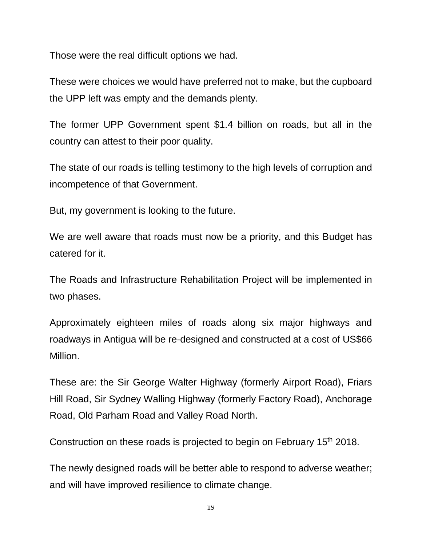Those were the real difficult options we had.

These were choices we would have preferred not to make, but the cupboard the UPP left was empty and the demands plenty.

The former UPP Government spent \$1.4 billion on roads, but all in the country can attest to their poor quality.

The state of our roads is telling testimony to the high levels of corruption and incompetence of that Government.

But, my government is looking to the future.

We are well aware that roads must now be a priority, and this Budget has catered for it.

The Roads and Infrastructure Rehabilitation Project will be implemented in two phases.

Approximately eighteen miles of roads along six major highways and roadways in Antigua will be re-designed and constructed at a cost of US\$66 Million.

These are: the Sir George Walter Highway (formerly Airport Road), Friars Hill Road, Sir Sydney Walling Highway (formerly Factory Road), Anchorage Road, Old Parham Road and Valley Road North.

Construction on these roads is projected to begin on February 15<sup>th</sup> 2018.

The newly designed roads will be better able to respond to adverse weather; and will have improved resilience to climate change.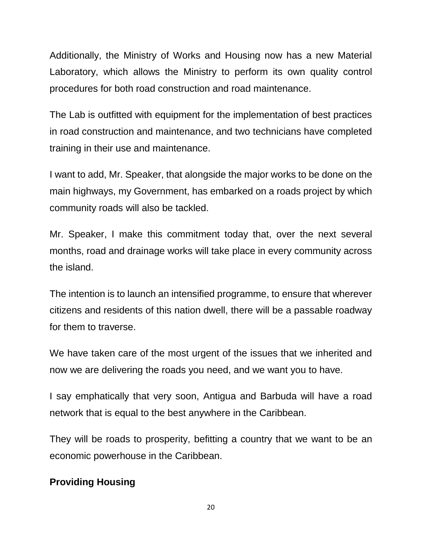Additionally, the Ministry of Works and Housing now has a new Material Laboratory, which allows the Ministry to perform its own quality control procedures for both road construction and road maintenance.

The Lab is outfitted with equipment for the implementation of best practices in road construction and maintenance, and two technicians have completed training in their use and maintenance.

I want to add, Mr. Speaker, that alongside the major works to be done on the main highways, my Government, has embarked on a roads project by which community roads will also be tackled.

Mr. Speaker, I make this commitment today that, over the next several months, road and drainage works will take place in every community across the island.

The intention is to launch an intensified programme, to ensure that wherever citizens and residents of this nation dwell, there will be a passable roadway for them to traverse.

We have taken care of the most urgent of the issues that we inherited and now we are delivering the roads you need, and we want you to have.

I say emphatically that very soon, Antigua and Barbuda will have a road network that is equal to the best anywhere in the Caribbean.

They will be roads to prosperity, befitting a country that we want to be an economic powerhouse in the Caribbean.

## **Providing Housing**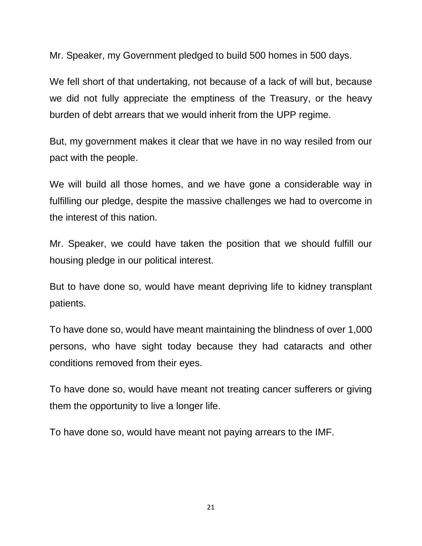Mr. Speaker, my Government pledged to build 500 homes in 500 days.

We fell short of that undertaking, not because of a lack of will but, because we did not fully appreciate the emptiness of the Treasury, or the heavy burden of debt arrears that we would inherit from the UPP regime.

But, my government makes it clear that we have in no way resiled from our pact with the people.

We will build all those homes, and we have gone a considerable way in fulfilling our pledge, despite the massive challenges we had to overcome in the interest of this nation.

Mr. Speaker, we could have taken the position that we should fulfill our housing pledge in our political interest.

But to have done so, would have meant depriving life to kidney transplant patients.

To have done so, would have meant maintaining the blindness of over 1,000 persons, who have sight today because they had cataracts and other conditions removed from their eyes.

To have done so, would have meant not treating cancer sufferers or giving them the opportunity to live a longer life.

To have done so, would have meant not paying arrears to the IMF.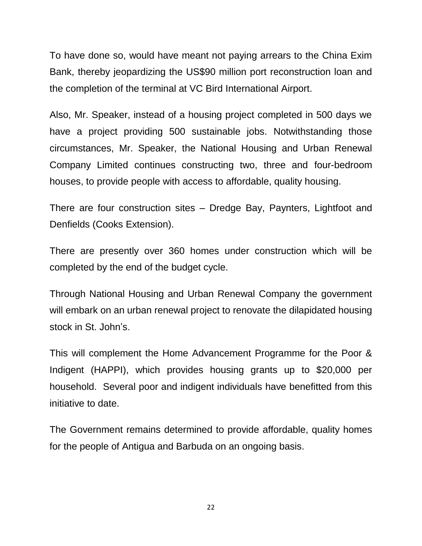To have done so, would have meant not paying arrears to the China Exim Bank, thereby jeopardizing the US\$90 million port reconstruction loan and the completion of the terminal at VC Bird International Airport.

Also, Mr. Speaker, instead of a housing project completed in 500 days we have a project providing 500 sustainable jobs. Notwithstanding those circumstances, Mr. Speaker, the National Housing and Urban Renewal Company Limited continues constructing two, three and four-bedroom houses, to provide people with access to affordable, quality housing.

There are four construction sites – Dredge Bay, Paynters, Lightfoot and Denfields (Cooks Extension).

There are presently over 360 homes under construction which will be completed by the end of the budget cycle.

Through National Housing and Urban Renewal Company the government will embark on an urban renewal project to renovate the dilapidated housing stock in St. John's.

This will complement the Home Advancement Programme for the Poor & Indigent (HAPPI), which provides housing grants up to \$20,000 per household. Several poor and indigent individuals have benefitted from this initiative to date.

The Government remains determined to provide affordable, quality homes for the people of Antigua and Barbuda on an ongoing basis.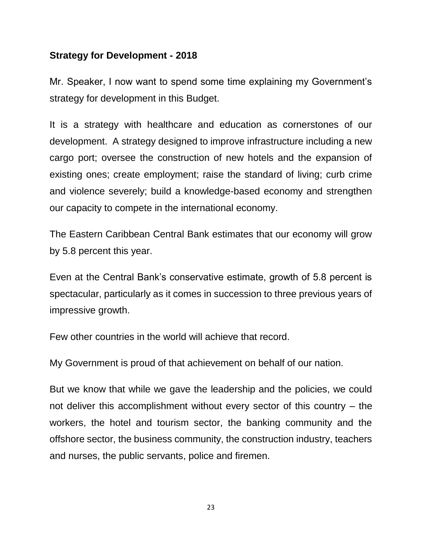#### **Strategy for Development - 2018**

Mr. Speaker, I now want to spend some time explaining my Government's strategy for development in this Budget.

It is a strategy with healthcare and education as cornerstones of our development. A strategy designed to improve infrastructure including a new cargo port; oversee the construction of new hotels and the expansion of existing ones; create employment; raise the standard of living; curb crime and violence severely; build a knowledge-based economy and strengthen our capacity to compete in the international economy.

The Eastern Caribbean Central Bank estimates that our economy will grow by 5.8 percent this year.

Even at the Central Bank's conservative estimate, growth of 5.8 percent is spectacular, particularly as it comes in succession to three previous years of impressive growth.

Few other countries in the world will achieve that record.

My Government is proud of that achievement on behalf of our nation.

But we know that while we gave the leadership and the policies, we could not deliver this accomplishment without every sector of this country – the workers, the hotel and tourism sector, the banking community and the offshore sector, the business community, the construction industry, teachers and nurses, the public servants, police and firemen.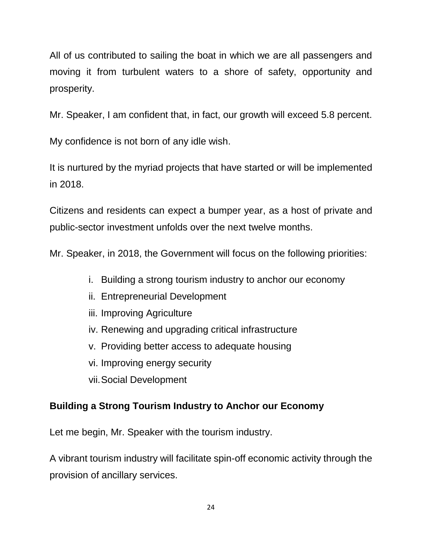All of us contributed to sailing the boat in which we are all passengers and moving it from turbulent waters to a shore of safety, opportunity and prosperity.

Mr. Speaker, I am confident that, in fact, our growth will exceed 5.8 percent.

My confidence is not born of any idle wish.

It is nurtured by the myriad projects that have started or will be implemented in 2018.

Citizens and residents can expect a bumper year, as a host of private and public-sector investment unfolds over the next twelve months.

Mr. Speaker, in 2018, the Government will focus on the following priorities:

- i. Building a strong tourism industry to anchor our economy
- ii. Entrepreneurial Development
- iii. Improving Agriculture
- iv. Renewing and upgrading critical infrastructure
- v. Providing better access to adequate housing
- vi. Improving energy security
- vii.Social Development

# **Building a Strong Tourism Industry to Anchor our Economy**

Let me begin, Mr. Speaker with the tourism industry.

A vibrant tourism industry will facilitate spin-off economic activity through the provision of ancillary services.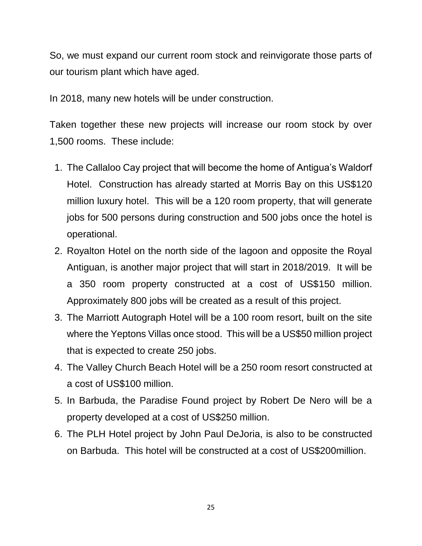So, we must expand our current room stock and reinvigorate those parts of our tourism plant which have aged.

In 2018, many new hotels will be under construction.

Taken together these new projects will increase our room stock by over 1,500 rooms. These include:

- 1. The Callaloo Cay project that will become the home of Antigua's Waldorf Hotel. Construction has already started at Morris Bay on this US\$120 million luxury hotel. This will be a 120 room property, that will generate jobs for 500 persons during construction and 500 jobs once the hotel is operational.
- 2. Royalton Hotel on the north side of the lagoon and opposite the Royal Antiguan, is another major project that will start in 2018/2019. It will be a 350 room property constructed at a cost of US\$150 million. Approximately 800 jobs will be created as a result of this project.
- 3. The Marriott Autograph Hotel will be a 100 room resort, built on the site where the Yeptons Villas once stood. This will be a US\$50 million project that is expected to create 250 jobs.
- 4. The Valley Church Beach Hotel will be a 250 room resort constructed at a cost of US\$100 million.
- 5. In Barbuda, the Paradise Found project by Robert De Nero will be a property developed at a cost of US\$250 million.
- 6. The PLH Hotel project by John Paul DeJoria, is also to be constructed on Barbuda. This hotel will be constructed at a cost of US\$200million.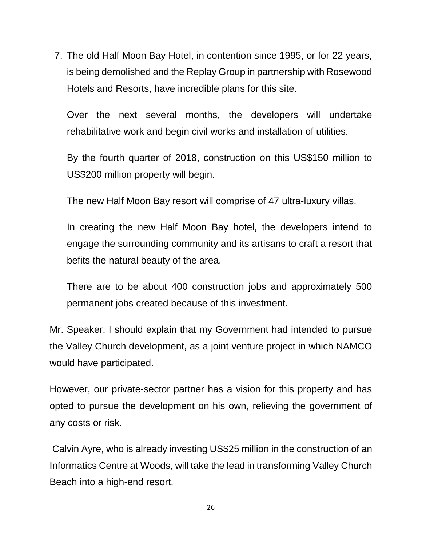7. The old Half Moon Bay Hotel, in contention since 1995, or for 22 years, is being demolished and the Replay Group in partnership with Rosewood Hotels and Resorts, have incredible plans for this site.

Over the next several months, the developers will undertake rehabilitative work and begin civil works and installation of utilities.

By the fourth quarter of 2018, construction on this US\$150 million to US\$200 million property will begin.

The new Half Moon Bay resort will comprise of 47 ultra-luxury villas.

In creating the new Half Moon Bay hotel, the developers intend to engage the surrounding community and its artisans to craft a resort that befits the natural beauty of the area.

There are to be about 400 construction jobs and approximately 500 permanent jobs created because of this investment.

Mr. Speaker, I should explain that my Government had intended to pursue the Valley Church development, as a joint venture project in which NAMCO would have participated.

However, our private-sector partner has a vision for this property and has opted to pursue the development on his own, relieving the government of any costs or risk.

Calvin Ayre, who is already investing US\$25 million in the construction of an Informatics Centre at Woods, will take the lead in transforming Valley Church Beach into a high-end resort.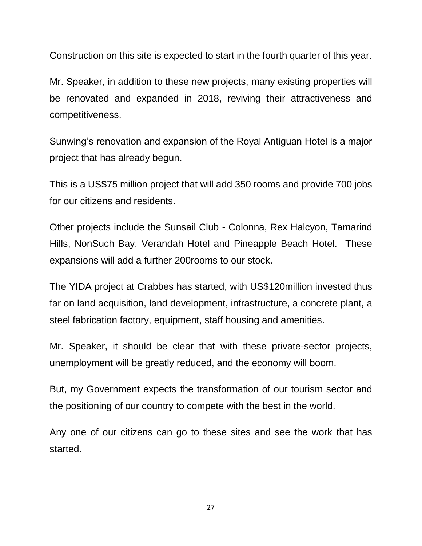Construction on this site is expected to start in the fourth quarter of this year.

Mr. Speaker, in addition to these new projects, many existing properties will be renovated and expanded in 2018, reviving their attractiveness and competitiveness.

Sunwing's renovation and expansion of the Royal Antiguan Hotel is a major project that has already begun.

This is a US\$75 million project that will add 350 rooms and provide 700 jobs for our citizens and residents.

Other projects include the Sunsail Club - Colonna, Rex Halcyon, Tamarind Hills, NonSuch Bay, Verandah Hotel and Pineapple Beach Hotel. These expansions will add a further 200rooms to our stock.

The YIDA project at Crabbes has started, with US\$120million invested thus far on land acquisition, land development, infrastructure, a concrete plant, a steel fabrication factory, equipment, staff housing and amenities.

Mr. Speaker, it should be clear that with these private-sector projects, unemployment will be greatly reduced, and the economy will boom.

But, my Government expects the transformation of our tourism sector and the positioning of our country to compete with the best in the world.

Any one of our citizens can go to these sites and see the work that has started.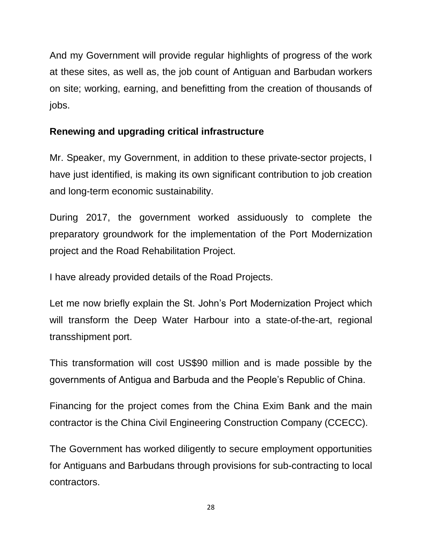And my Government will provide regular highlights of progress of the work at these sites, as well as, the job count of Antiguan and Barbudan workers on site; working, earning, and benefitting from the creation of thousands of jobs.

# **Renewing and upgrading critical infrastructure**

Mr. Speaker, my Government, in addition to these private-sector projects, I have just identified, is making its own significant contribution to job creation and long-term economic sustainability.

During 2017, the government worked assiduously to complete the preparatory groundwork for the implementation of the Port Modernization project and the Road Rehabilitation Project.

I have already provided details of the Road Projects.

Let me now briefly explain the St. John's Port Modernization Project which will transform the Deep Water Harbour into a state-of-the-art, regional transshipment port.

This transformation will cost US\$90 million and is made possible by the governments of Antigua and Barbuda and the People's Republic of China.

Financing for the project comes from the China Exim Bank and the main contractor is the China Civil Engineering Construction Company (CCECC).

The Government has worked diligently to secure employment opportunities for Antiguans and Barbudans through provisions for sub-contracting to local contractors.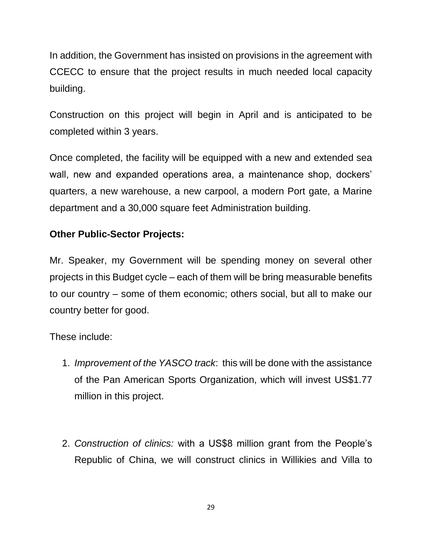In addition, the Government has insisted on provisions in the agreement with CCECC to ensure that the project results in much needed local capacity building.

Construction on this project will begin in April and is anticipated to be completed within 3 years.

Once completed, the facility will be equipped with a new and extended sea wall, new and expanded operations area, a maintenance shop, dockers' quarters, a new warehouse, a new carpool, a modern Port gate, a Marine department and a 30,000 square feet Administration building.

## **Other Public-Sector Projects:**

Mr. Speaker, my Government will be spending money on several other projects in this Budget cycle – each of them will be bring measurable benefits to our country – some of them economic; others social, but all to make our country better for good.

These include:

- 1. *Improvement of the YASCO track*: this will be done with the assistance of the Pan American Sports Organization, which will invest US\$1.77 million in this project.
- 2. *Construction of clinics:* with a US\$8 million grant from the People's Republic of China, we will construct clinics in Willikies and Villa to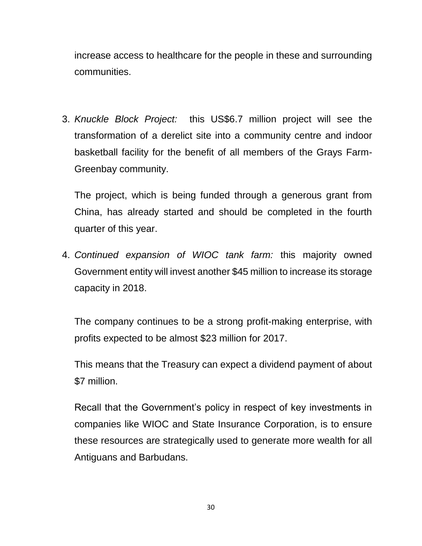increase access to healthcare for the people in these and surrounding communities.

3. *Knuckle Block Project:* this US\$6.7 million project will see the transformation of a derelict site into a community centre and indoor basketball facility for the benefit of all members of the Grays Farm-Greenbay community.

The project, which is being funded through a generous grant from China, has already started and should be completed in the fourth quarter of this year.

4. *Continued expansion of WIOC tank farm:* this majority owned Government entity will invest another \$45 million to increase its storage capacity in 2018.

The company continues to be a strong profit-making enterprise, with profits expected to be almost \$23 million for 2017.

This means that the Treasury can expect a dividend payment of about \$7 million.

Recall that the Government's policy in respect of key investments in companies like WIOC and State Insurance Corporation, is to ensure these resources are strategically used to generate more wealth for all Antiguans and Barbudans.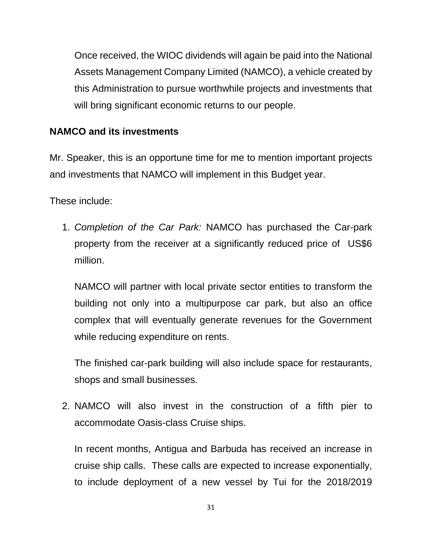Once received, the WIOC dividends will again be paid into the National Assets Management Company Limited (NAMCO), a vehicle created by this Administration to pursue worthwhile projects and investments that will bring significant economic returns to our people.

## **NAMCO and its investments**

Mr. Speaker, this is an opportune time for me to mention important projects and investments that NAMCO will implement in this Budget year.

These include:

1. *Completion of the Car Park:* NAMCO has purchased the Car-park property from the receiver at a significantly reduced price of US\$6 million.

NAMCO will partner with local private sector entities to transform the building not only into a multipurpose car park, but also an office complex that will eventually generate revenues for the Government while reducing expenditure on rents.

The finished car-park building will also include space for restaurants, shops and small businesses.

2. NAMCO will also invest in the construction of a fifth pier to accommodate Oasis-class Cruise ships.

In recent months, Antigua and Barbuda has received an increase in cruise ship calls. These calls are expected to increase exponentially, to include deployment of a new vessel by Tui for the 2018/2019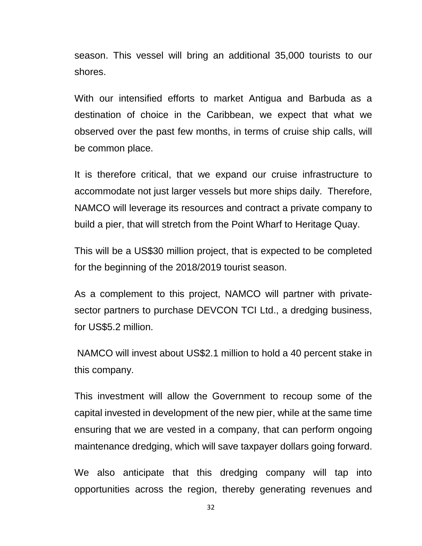season. This vessel will bring an additional 35,000 tourists to our shores.

With our intensified efforts to market Antigua and Barbuda as a destination of choice in the Caribbean, we expect that what we observed over the past few months, in terms of cruise ship calls, will be common place.

It is therefore critical, that we expand our cruise infrastructure to accommodate not just larger vessels but more ships daily. Therefore, NAMCO will leverage its resources and contract a private company to build a pier, that will stretch from the Point Wharf to Heritage Quay.

This will be a US\$30 million project, that is expected to be completed for the beginning of the 2018/2019 tourist season.

As a complement to this project, NAMCO will partner with privatesector partners to purchase DEVCON TCI Ltd., a dredging business, for US\$5.2 million.

NAMCO will invest about US\$2.1 million to hold a 40 percent stake in this company.

This investment will allow the Government to recoup some of the capital invested in development of the new pier, while at the same time ensuring that we are vested in a company, that can perform ongoing maintenance dredging, which will save taxpayer dollars going forward.

We also anticipate that this dredging company will tap into opportunities across the region, thereby generating revenues and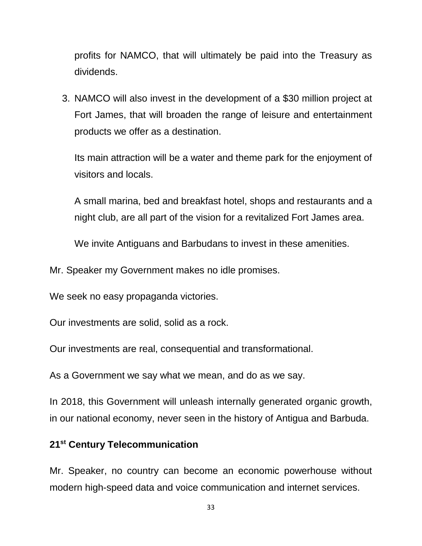profits for NAMCO, that will ultimately be paid into the Treasury as dividends.

3. NAMCO will also invest in the development of a \$30 million project at Fort James, that will broaden the range of leisure and entertainment products we offer as a destination.

Its main attraction will be a water and theme park for the enjoyment of visitors and locals.

A small marina, bed and breakfast hotel, shops and restaurants and a night club, are all part of the vision for a revitalized Fort James area.

We invite Antiguans and Barbudans to invest in these amenities.

Mr. Speaker my Government makes no idle promises.

We seek no easy propaganda victories.

Our investments are solid, solid as a rock.

Our investments are real, consequential and transformational.

As a Government we say what we mean, and do as we say.

In 2018, this Government will unleash internally generated organic growth, in our national economy, never seen in the history of Antigua and Barbuda.

#### **21st Century Telecommunication**

Mr. Speaker, no country can become an economic powerhouse without modern high-speed data and voice communication and internet services.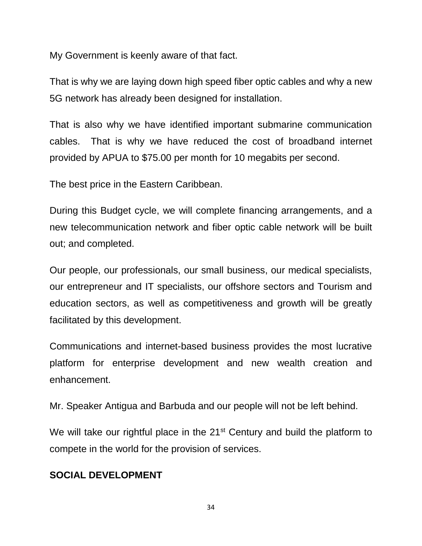My Government is keenly aware of that fact.

That is why we are laying down high speed fiber optic cables and why a new 5G network has already been designed for installation.

That is also why we have identified important submarine communication cables. That is why we have reduced the cost of broadband internet provided by APUA to \$75.00 per month for 10 megabits per second.

The best price in the Eastern Caribbean.

During this Budget cycle, we will complete financing arrangements, and a new telecommunication network and fiber optic cable network will be built out; and completed.

Our people, our professionals, our small business, our medical specialists, our entrepreneur and IT specialists, our offshore sectors and Tourism and education sectors, as well as competitiveness and growth will be greatly facilitated by this development.

Communications and internet-based business provides the most lucrative platform for enterprise development and new wealth creation and enhancement.

Mr. Speaker Antigua and Barbuda and our people will not be left behind.

We will take our rightful place in the 21<sup>st</sup> Century and build the platform to compete in the world for the provision of services.

# **SOCIAL DEVELOPMENT**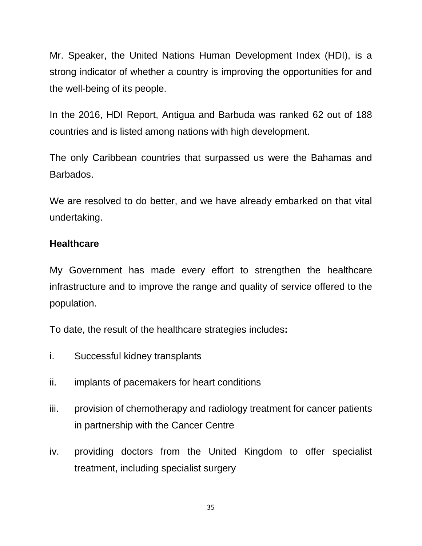Mr. Speaker, the United Nations Human Development Index (HDI), is a strong indicator of whether a country is improving the opportunities for and the well-being of its people.

In the 2016, HDI Report, Antigua and Barbuda was ranked 62 out of 188 countries and is listed among nations with high development.

The only Caribbean countries that surpassed us were the Bahamas and Barbados.

We are resolved to do better, and we have already embarked on that vital undertaking.

#### **Healthcare**

My Government has made every effort to strengthen the healthcare infrastructure and to improve the range and quality of service offered to the population.

To date, the result of the healthcare strategies includes**:**

- i. Successful kidney transplants
- ii. implants of pacemakers for heart conditions
- iii. provision of chemotherapy and radiology treatment for cancer patients in partnership with the Cancer Centre
- iv. providing doctors from the United Kingdom to offer specialist treatment, including specialist surgery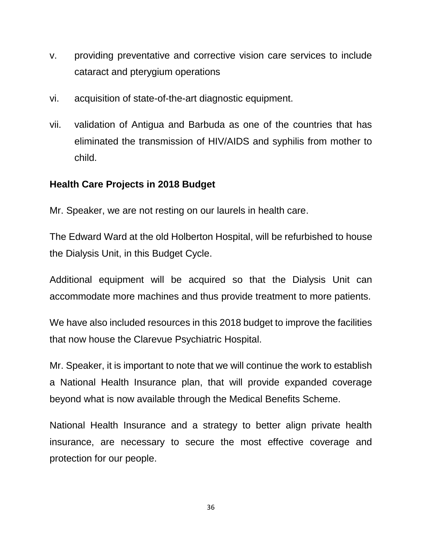- v. providing preventative and corrective vision care services to include cataract and pterygium operations
- vi. acquisition of state-of-the-art diagnostic equipment.
- vii. validation of Antigua and Barbuda as one of the countries that has eliminated the transmission of HIV/AIDS and syphilis from mother to child.

### **Health Care Projects in 2018 Budget**

Mr. Speaker, we are not resting on our laurels in health care.

The Edward Ward at the old Holberton Hospital, will be refurbished to house the Dialysis Unit, in this Budget Cycle.

Additional equipment will be acquired so that the Dialysis Unit can accommodate more machines and thus provide treatment to more patients.

We have also included resources in this 2018 budget to improve the facilities that now house the Clarevue Psychiatric Hospital.

Mr. Speaker, it is important to note that we will continue the work to establish a National Health Insurance plan, that will provide expanded coverage beyond what is now available through the Medical Benefits Scheme.

National Health Insurance and a strategy to better align private health insurance, are necessary to secure the most effective coverage and protection for our people.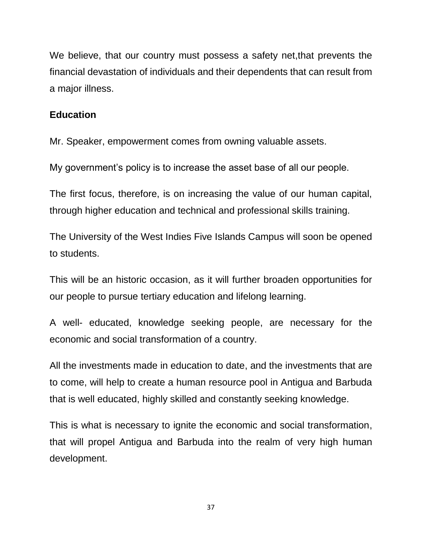We believe, that our country must possess a safety net,that prevents the financial devastation of individuals and their dependents that can result from a major illness.

#### **Education**

Mr. Speaker, empowerment comes from owning valuable assets.

My government's policy is to increase the asset base of all our people.

The first focus, therefore, is on increasing the value of our human capital, through higher education and technical and professional skills training.

The University of the West Indies Five Islands Campus will soon be opened to students.

This will be an historic occasion, as it will further broaden opportunities for our people to pursue tertiary education and lifelong learning.

A well- educated, knowledge seeking people, are necessary for the economic and social transformation of a country.

All the investments made in education to date, and the investments that are to come, will help to create a human resource pool in Antigua and Barbuda that is well educated, highly skilled and constantly seeking knowledge.

This is what is necessary to ignite the economic and social transformation, that will propel Antigua and Barbuda into the realm of very high human development.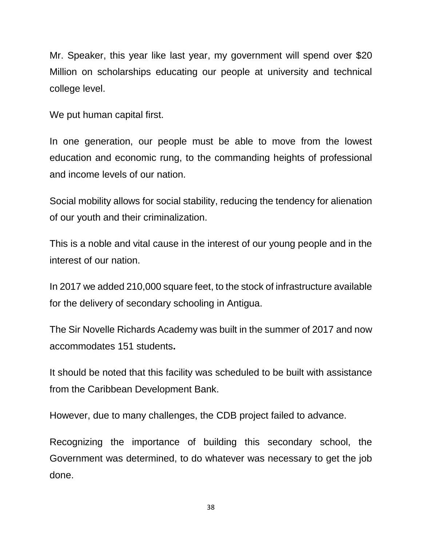Mr. Speaker, this year like last year, my government will spend over \$20 Million on scholarships educating our people at university and technical college level.

We put human capital first.

In one generation, our people must be able to move from the lowest education and economic rung, to the commanding heights of professional and income levels of our nation.

Social mobility allows for social stability, reducing the tendency for alienation of our youth and their criminalization.

This is a noble and vital cause in the interest of our young people and in the interest of our nation.

In 2017 we added 210,000 square feet, to the stock of infrastructure available for the delivery of secondary schooling in Antigua.

The Sir Novelle Richards Academy was built in the summer of 2017 and now accommodates 151 students**.** 

It should be noted that this facility was scheduled to be built with assistance from the Caribbean Development Bank.

However, due to many challenges, the CDB project failed to advance.

Recognizing the importance of building this secondary school, the Government was determined, to do whatever was necessary to get the job done.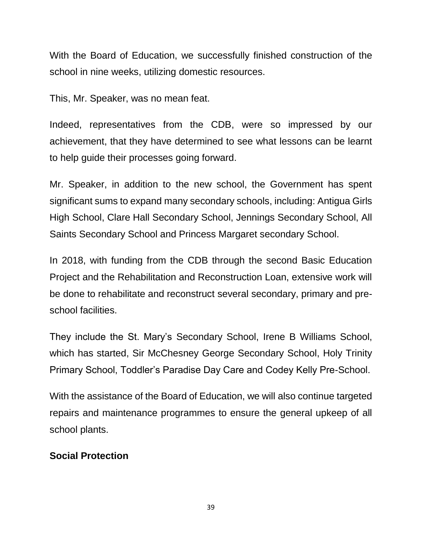With the Board of Education, we successfully finished construction of the school in nine weeks, utilizing domestic resources.

This, Mr. Speaker, was no mean feat.

Indeed, representatives from the CDB, were so impressed by our achievement, that they have determined to see what lessons can be learnt to help guide their processes going forward.

Mr. Speaker, in addition to the new school, the Government has spent significant sums to expand many secondary schools, including: Antigua Girls High School, Clare Hall Secondary School, Jennings Secondary School, All Saints Secondary School and Princess Margaret secondary School.

In 2018, with funding from the CDB through the second Basic Education Project and the Rehabilitation and Reconstruction Loan, extensive work will be done to rehabilitate and reconstruct several secondary, primary and preschool facilities.

They include the St. Mary's Secondary School, Irene B Williams School, which has started, Sir McChesney George Secondary School, Holy Trinity Primary School, Toddler's Paradise Day Care and Codey Kelly Pre-School.

With the assistance of the Board of Education, we will also continue targeted repairs and maintenance programmes to ensure the general upkeep of all school plants.

### **Social Protection**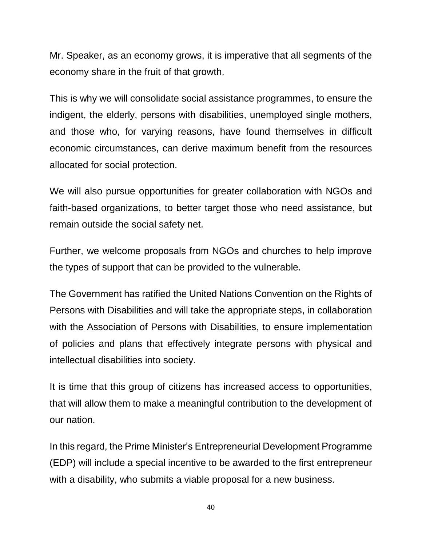Mr. Speaker, as an economy grows, it is imperative that all segments of the economy share in the fruit of that growth.

This is why we will consolidate social assistance programmes, to ensure the indigent, the elderly, persons with disabilities, unemployed single mothers, and those who, for varying reasons, have found themselves in difficult economic circumstances, can derive maximum benefit from the resources allocated for social protection.

We will also pursue opportunities for greater collaboration with NGOs and faith-based organizations, to better target those who need assistance, but remain outside the social safety net.

Further, we welcome proposals from NGOs and churches to help improve the types of support that can be provided to the vulnerable.

The Government has ratified the United Nations Convention on the Rights of Persons with Disabilities and will take the appropriate steps, in collaboration with the Association of Persons with Disabilities, to ensure implementation of policies and plans that effectively integrate persons with physical and intellectual disabilities into society.

It is time that this group of citizens has increased access to opportunities, that will allow them to make a meaningful contribution to the development of our nation.

In this regard, the Prime Minister's Entrepreneurial Development Programme (EDP) will include a special incentive to be awarded to the first entrepreneur with a disability, who submits a viable proposal for a new business.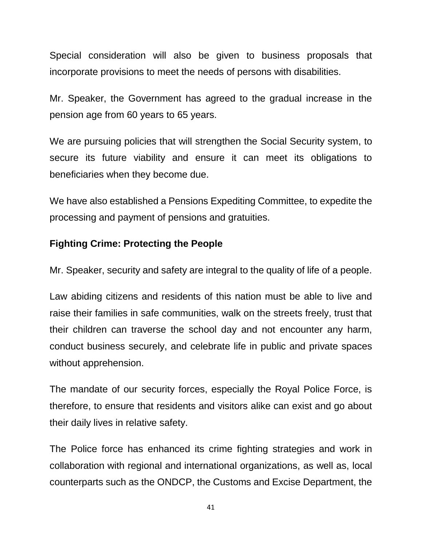Special consideration will also be given to business proposals that incorporate provisions to meet the needs of persons with disabilities.

Mr. Speaker, the Government has agreed to the gradual increase in the pension age from 60 years to 65 years.

We are pursuing policies that will strengthen the Social Security system, to secure its future viability and ensure it can meet its obligations to beneficiaries when they become due.

We have also established a Pensions Expediting Committee, to expedite the processing and payment of pensions and gratuities.

### **Fighting Crime: Protecting the People**

Mr. Speaker, security and safety are integral to the quality of life of a people.

Law abiding citizens and residents of this nation must be able to live and raise their families in safe communities, walk on the streets freely, trust that their children can traverse the school day and not encounter any harm, conduct business securely, and celebrate life in public and private spaces without apprehension.

The mandate of our security forces, especially the Royal Police Force, is therefore, to ensure that residents and visitors alike can exist and go about their daily lives in relative safety.

The Police force has enhanced its crime fighting strategies and work in collaboration with regional and international organizations, as well as, local counterparts such as the ONDCP, the Customs and Excise Department, the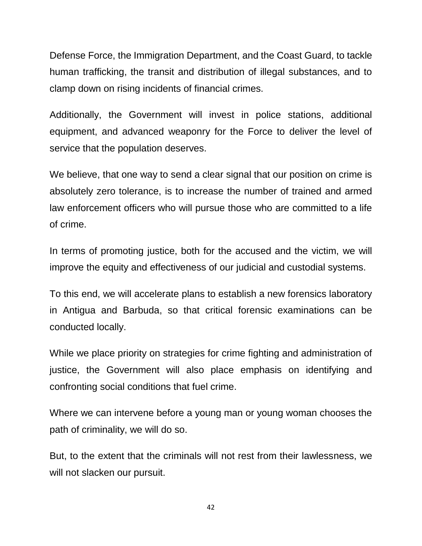Defense Force, the Immigration Department, and the Coast Guard, to tackle human trafficking, the transit and distribution of illegal substances, and to clamp down on rising incidents of financial crimes.

Additionally, the Government will invest in police stations, additional equipment, and advanced weaponry for the Force to deliver the level of service that the population deserves.

We believe, that one way to send a clear signal that our position on crime is absolutely zero tolerance, is to increase the number of trained and armed law enforcement officers who will pursue those who are committed to a life of crime.

In terms of promoting justice, both for the accused and the victim, we will improve the equity and effectiveness of our judicial and custodial systems.

To this end, we will accelerate plans to establish a new forensics laboratory in Antigua and Barbuda, so that critical forensic examinations can be conducted locally.

While we place priority on strategies for crime fighting and administration of justice, the Government will also place emphasis on identifying and confronting social conditions that fuel crime.

Where we can intervene before a young man or young woman chooses the path of criminality, we will do so.

But, to the extent that the criminals will not rest from their lawlessness, we will not slacken our pursuit.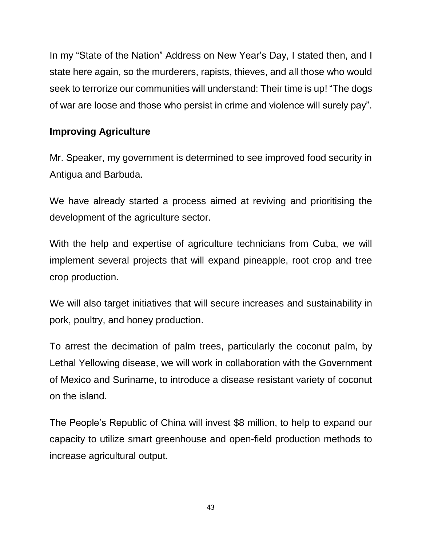In my "State of the Nation" Address on New Year's Day, I stated then, and I state here again, so the murderers, rapists, thieves, and all those who would seek to terrorize our communities will understand: Their time is up! "The dogs of war are loose and those who persist in crime and violence will surely pay".

# **Improving Agriculture**

Mr. Speaker, my government is determined to see improved food security in Antigua and Barbuda.

We have already started a process aimed at reviving and prioritising the development of the agriculture sector.

With the help and expertise of agriculture technicians from Cuba, we will implement several projects that will expand pineapple, root crop and tree crop production.

We will also target initiatives that will secure increases and sustainability in pork, poultry, and honey production.

To arrest the decimation of palm trees, particularly the coconut palm, by Lethal Yellowing disease, we will work in collaboration with the Government of Mexico and Suriname, to introduce a disease resistant variety of coconut on the island.

The People's Republic of China will invest \$8 million, to help to expand our capacity to utilize smart greenhouse and open-field production methods to increase agricultural output.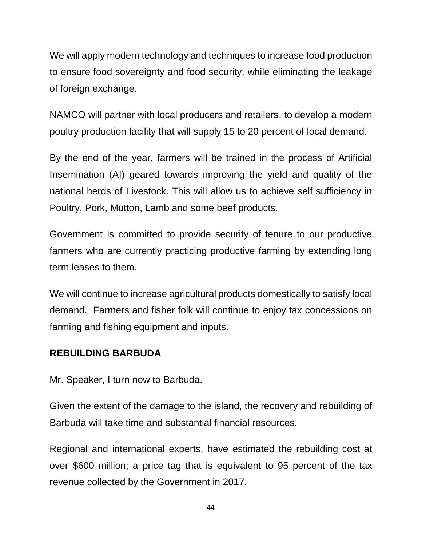We will apply modern technology and techniques to increase food production to ensure food sovereignty and food security, while eliminating the leakage of foreign exchange.

NAMCO will partner with local producers and retailers, to develop a modern poultry production facility that will supply 15 to 20 percent of local demand.

By the end of the year, farmers will be trained in the process of Artificial Insemination (AI) geared towards improving the yield and quality of the national herds of Livestock. This will allow us to achieve self sufficiency in Poultry, Pork, Mutton, Lamb and some beef products.

Government is committed to provide security of tenure to our productive farmers who are currently practicing productive farming by extending long term leases to them.

We will continue to increase agricultural products domestically to satisfy local demand. Farmers and fisher folk will continue to enjoy tax concessions on farming and fishing equipment and inputs.

### **REBUILDING BARBUDA**

Mr. Speaker, I turn now to Barbuda.

Given the extent of the damage to the island, the recovery and rebuilding of Barbuda will take time and substantial financial resources.

Regional and international experts, have estimated the rebuilding cost at over \$600 million; a price tag that is equivalent to 95 percent of the tax revenue collected by the Government in 2017.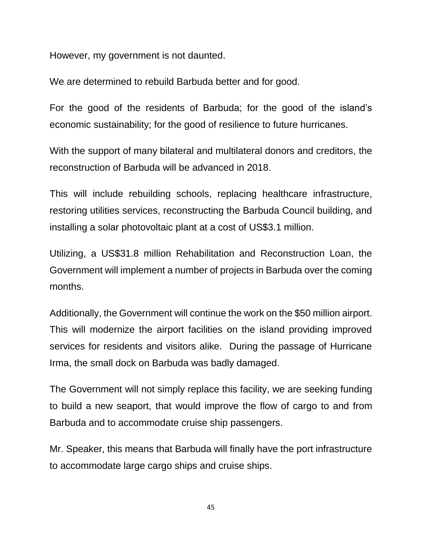However, my government is not daunted.

We are determined to rebuild Barbuda better and for good.

For the good of the residents of Barbuda; for the good of the island's economic sustainability; for the good of resilience to future hurricanes.

With the support of many bilateral and multilateral donors and creditors, the reconstruction of Barbuda will be advanced in 2018.

This will include rebuilding schools, replacing healthcare infrastructure, restoring utilities services, reconstructing the Barbuda Council building, and installing a solar photovoltaic plant at a cost of US\$3.1 million.

Utilizing, a US\$31.8 million Rehabilitation and Reconstruction Loan, the Government will implement a number of projects in Barbuda over the coming months.

Additionally, the Government will continue the work on the \$50 million airport. This will modernize the airport facilities on the island providing improved services for residents and visitors alike. During the passage of Hurricane Irma, the small dock on Barbuda was badly damaged.

The Government will not simply replace this facility, we are seeking funding to build a new seaport, that would improve the flow of cargo to and from Barbuda and to accommodate cruise ship passengers.

Mr. Speaker, this means that Barbuda will finally have the port infrastructure to accommodate large cargo ships and cruise ships.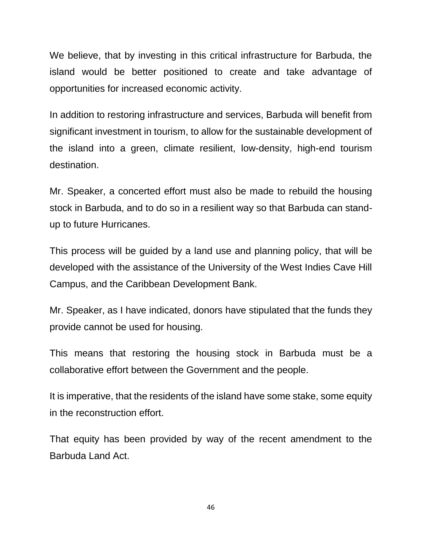We believe, that by investing in this critical infrastructure for Barbuda, the island would be better positioned to create and take advantage of opportunities for increased economic activity.

In addition to restoring infrastructure and services, Barbuda will benefit from significant investment in tourism, to allow for the sustainable development of the island into a green, climate resilient, low-density, high-end tourism destination.

Mr. Speaker, a concerted effort must also be made to rebuild the housing stock in Barbuda, and to do so in a resilient way so that Barbuda can standup to future Hurricanes.

This process will be guided by a land use and planning policy, that will be developed with the assistance of the University of the West Indies Cave Hill Campus, and the Caribbean Development Bank.

Mr. Speaker, as I have indicated, donors have stipulated that the funds they provide cannot be used for housing.

This means that restoring the housing stock in Barbuda must be a collaborative effort between the Government and the people.

It is imperative, that the residents of the island have some stake, some equity in the reconstruction effort.

That equity has been provided by way of the recent amendment to the Barbuda Land Act.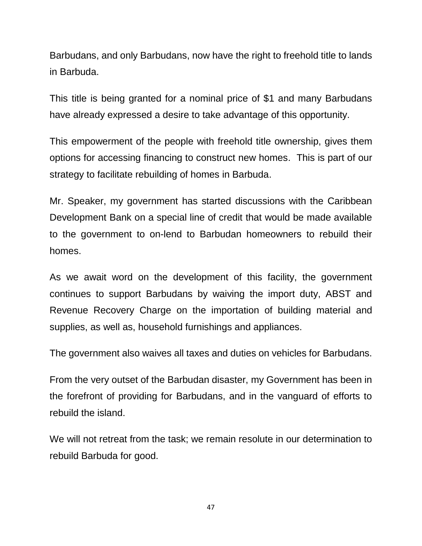Barbudans, and only Barbudans, now have the right to freehold title to lands in Barbuda.

This title is being granted for a nominal price of \$1 and many Barbudans have already expressed a desire to take advantage of this opportunity.

This empowerment of the people with freehold title ownership, gives them options for accessing financing to construct new homes. This is part of our strategy to facilitate rebuilding of homes in Barbuda.

Mr. Speaker, my government has started discussions with the Caribbean Development Bank on a special line of credit that would be made available to the government to on-lend to Barbudan homeowners to rebuild their homes.

As we await word on the development of this facility, the government continues to support Barbudans by waiving the import duty, ABST and Revenue Recovery Charge on the importation of building material and supplies, as well as, household furnishings and appliances.

The government also waives all taxes and duties on vehicles for Barbudans.

From the very outset of the Barbudan disaster, my Government has been in the forefront of providing for Barbudans, and in the vanguard of efforts to rebuild the island.

We will not retreat from the task; we remain resolute in our determination to rebuild Barbuda for good.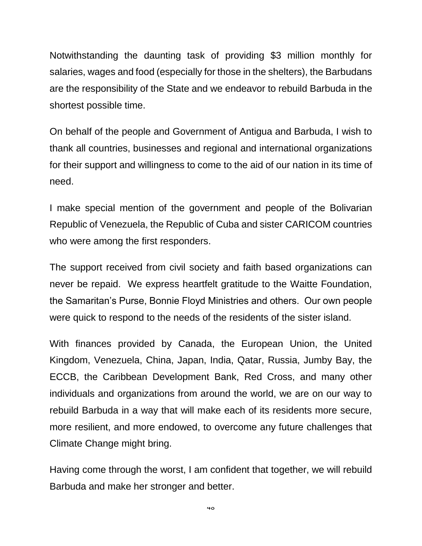Notwithstanding the daunting task of providing \$3 million monthly for salaries, wages and food (especially for those in the shelters), the Barbudans are the responsibility of the State and we endeavor to rebuild Barbuda in the shortest possible time.

On behalf of the people and Government of Antigua and Barbuda, I wish to thank all countries, businesses and regional and international organizations for their support and willingness to come to the aid of our nation in its time of need.

I make special mention of the government and people of the Bolivarian Republic of Venezuela, the Republic of Cuba and sister CARICOM countries who were among the first responders.

The support received from civil society and faith based organizations can never be repaid. We express heartfelt gratitude to the Waitte Foundation, the Samaritan's Purse, Bonnie Floyd Ministries and others. Our own people were quick to respond to the needs of the residents of the sister island.

With finances provided by Canada, the European Union, the United Kingdom, Venezuela, China, Japan, India, Qatar, Russia, Jumby Bay, the ECCB, the Caribbean Development Bank, Red Cross, and many other individuals and organizations from around the world, we are on our way to rebuild Barbuda in a way that will make each of its residents more secure, more resilient, and more endowed, to overcome any future challenges that Climate Change might bring.

Having come through the worst, I am confident that together, we will rebuild Barbuda and make her stronger and better.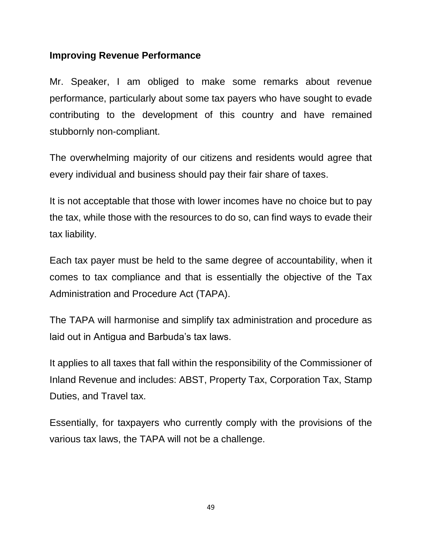#### **Improving Revenue Performance**

Mr. Speaker, I am obliged to make some remarks about revenue performance, particularly about some tax payers who have sought to evade contributing to the development of this country and have remained stubbornly non-compliant.

The overwhelming majority of our citizens and residents would agree that every individual and business should pay their fair share of taxes.

It is not acceptable that those with lower incomes have no choice but to pay the tax, while those with the resources to do so, can find ways to evade their tax liability.

Each tax payer must be held to the same degree of accountability, when it comes to tax compliance and that is essentially the objective of the Tax Administration and Procedure Act (TAPA).

The TAPA will harmonise and simplify tax administration and procedure as laid out in Antigua and Barbuda's tax laws.

It applies to all taxes that fall within the responsibility of the Commissioner of Inland Revenue and includes: ABST, Property Tax, Corporation Tax, Stamp Duties, and Travel tax.

Essentially, for taxpayers who currently comply with the provisions of the various tax laws, the TAPA will not be a challenge.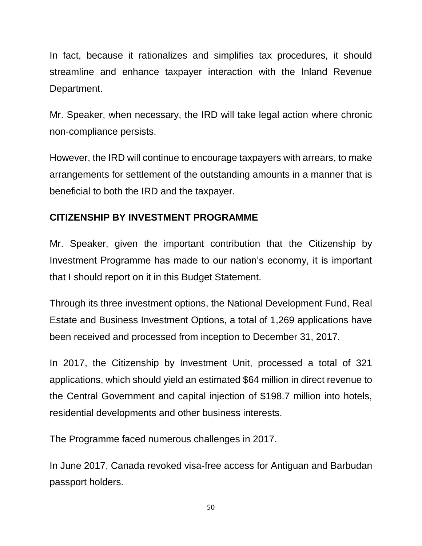In fact, because it rationalizes and simplifies tax procedures, it should streamline and enhance taxpayer interaction with the Inland Revenue Department.

Mr. Speaker, when necessary, the IRD will take legal action where chronic non-compliance persists.

However, the IRD will continue to encourage taxpayers with arrears, to make arrangements for settlement of the outstanding amounts in a manner that is beneficial to both the IRD and the taxpayer.

### **CITIZENSHIP BY INVESTMENT PROGRAMME**

Mr. Speaker, given the important contribution that the Citizenship by Investment Programme has made to our nation's economy, it is important that I should report on it in this Budget Statement.

Through its three investment options, the National Development Fund, Real Estate and Business Investment Options, a total of 1,269 applications have been received and processed from inception to December 31, 2017.

In 2017, the Citizenship by Investment Unit, processed a total of 321 applications, which should yield an estimated \$64 million in direct revenue to the Central Government and capital injection of \$198.7 million into hotels, residential developments and other business interests.

The Programme faced numerous challenges in 2017.

In June 2017, Canada revoked visa-free access for Antiguan and Barbudan passport holders.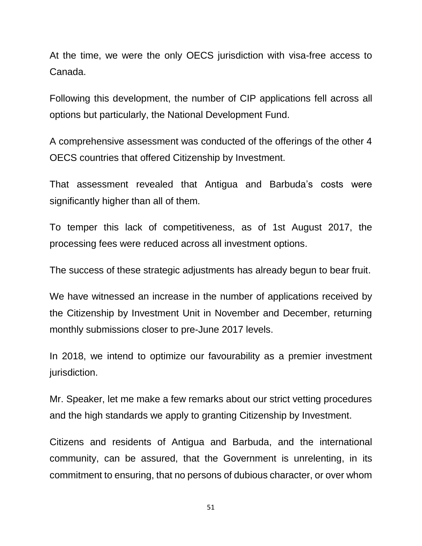At the time, we were the only OECS jurisdiction with visa-free access to Canada.

Following this development, the number of CIP applications fell across all options but particularly, the National Development Fund.

A comprehensive assessment was conducted of the offerings of the other 4 OECS countries that offered Citizenship by Investment.

That assessment revealed that Antigua and Barbuda's costs were significantly higher than all of them.

To temper this lack of competitiveness, as of 1st August 2017, the processing fees were reduced across all investment options.

The success of these strategic adjustments has already begun to bear fruit.

We have witnessed an increase in the number of applications received by the Citizenship by Investment Unit in November and December, returning monthly submissions closer to pre-June 2017 levels.

In 2018, we intend to optimize our favourability as a premier investment jurisdiction.

Mr. Speaker, let me make a few remarks about our strict vetting procedures and the high standards we apply to granting Citizenship by Investment.

Citizens and residents of Antigua and Barbuda, and the international community, can be assured, that the Government is unrelenting, in its commitment to ensuring, that no persons of dubious character, or over whom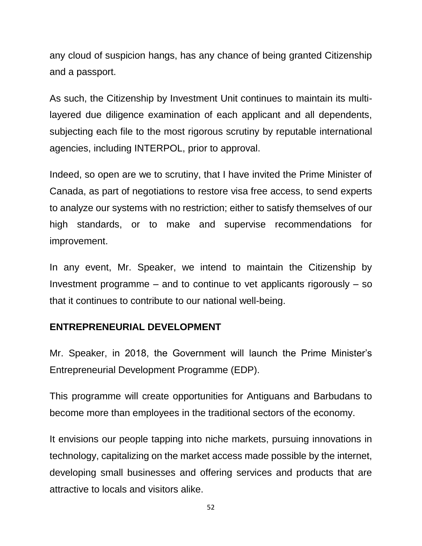any cloud of suspicion hangs, has any chance of being granted Citizenship and a passport.

As such, the Citizenship by Investment Unit continues to maintain its multilayered due diligence examination of each applicant and all dependents, subjecting each file to the most rigorous scrutiny by reputable international agencies, including INTERPOL, prior to approval.

Indeed, so open are we to scrutiny, that I have invited the Prime Minister of Canada, as part of negotiations to restore visa free access, to send experts to analyze our systems with no restriction; either to satisfy themselves of our high standards, or to make and supervise recommendations for improvement.

In any event, Mr. Speaker, we intend to maintain the Citizenship by Investment programme  $-$  and to continue to vet applicants rigorously  $-$  so that it continues to contribute to our national well-being.

### **ENTREPRENEURIAL DEVELOPMENT**

Mr. Speaker, in 2018, the Government will launch the Prime Minister's Entrepreneurial Development Programme (EDP).

This programme will create opportunities for Antiguans and Barbudans to become more than employees in the traditional sectors of the economy.

It envisions our people tapping into niche markets, pursuing innovations in technology, capitalizing on the market access made possible by the internet, developing small businesses and offering services and products that are attractive to locals and visitors alike.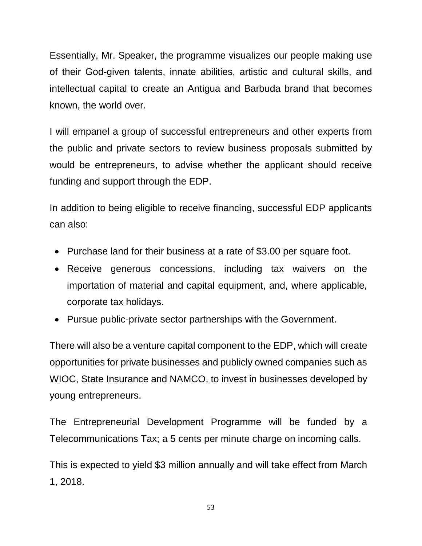Essentially, Mr. Speaker, the programme visualizes our people making use of their God-given talents, innate abilities, artistic and cultural skills, and intellectual capital to create an Antigua and Barbuda brand that becomes known, the world over.

I will empanel a group of successful entrepreneurs and other experts from the public and private sectors to review business proposals submitted by would be entrepreneurs, to advise whether the applicant should receive funding and support through the EDP.

In addition to being eligible to receive financing, successful EDP applicants can also:

- Purchase land for their business at a rate of \$3.00 per square foot.
- Receive generous concessions, including tax waivers on the importation of material and capital equipment, and, where applicable, corporate tax holidays.
- Pursue public-private sector partnerships with the Government.

There will also be a venture capital component to the EDP, which will create opportunities for private businesses and publicly owned companies such as WIOC, State Insurance and NAMCO, to invest in businesses developed by young entrepreneurs.

The Entrepreneurial Development Programme will be funded by a Telecommunications Tax; a 5 cents per minute charge on incoming calls.

This is expected to yield \$3 million annually and will take effect from March 1, 2018.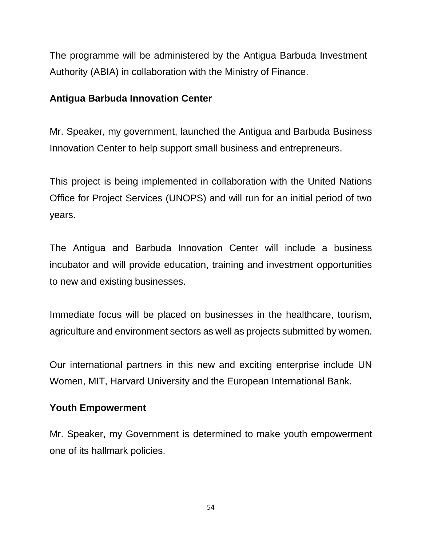The programme will be administered by the Antigua Barbuda Investment Authority (ABIA) in collaboration with the Ministry of Finance.

### **Antigua Barbuda Innovation Center**

Mr. Speaker, my government, launched the Antigua and Barbuda Business Innovation Center to help support small business and entrepreneurs.

This project is being implemented in collaboration with the United Nations Office for Project Services (UNOPS) and will run for an initial period of two years.

The Antigua and Barbuda Innovation Center will include a business incubator and will provide education, training and investment opportunities to new and existing businesses.

Immediate focus will be placed on businesses in the healthcare, tourism, agriculture and environment sectors as well as projects submitted by women.

Our international partners in this new and exciting enterprise include UN Women, MIT, Harvard University and the European International Bank.

### **Youth Empowerment**

Mr. Speaker, my Government is determined to make youth empowerment one of its hallmark policies.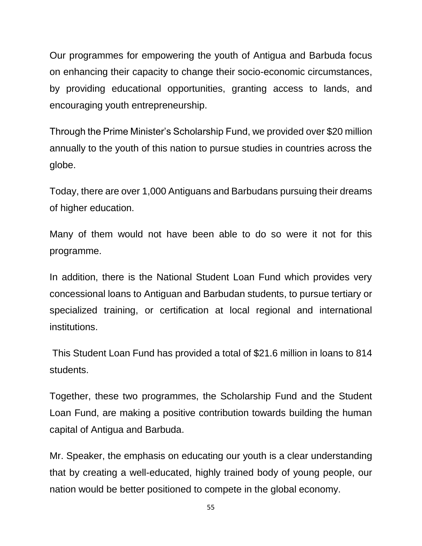Our programmes for empowering the youth of Antigua and Barbuda focus on enhancing their capacity to change their socio-economic circumstances, by providing educational opportunities, granting access to lands, and encouraging youth entrepreneurship.

Through the Prime Minister's Scholarship Fund, we provided over \$20 million annually to the youth of this nation to pursue studies in countries across the globe.

Today, there are over 1,000 Antiguans and Barbudans pursuing their dreams of higher education.

Many of them would not have been able to do so were it not for this programme.

In addition, there is the National Student Loan Fund which provides very concessional loans to Antiguan and Barbudan students, to pursue tertiary or specialized training, or certification at local regional and international institutions.

This Student Loan Fund has provided a total of \$21.6 million in loans to 814 students.

Together, these two programmes, the Scholarship Fund and the Student Loan Fund, are making a positive contribution towards building the human capital of Antigua and Barbuda.

Mr. Speaker, the emphasis on educating our youth is a clear understanding that by creating a well-educated, highly trained body of young people, our nation would be better positioned to compete in the global economy.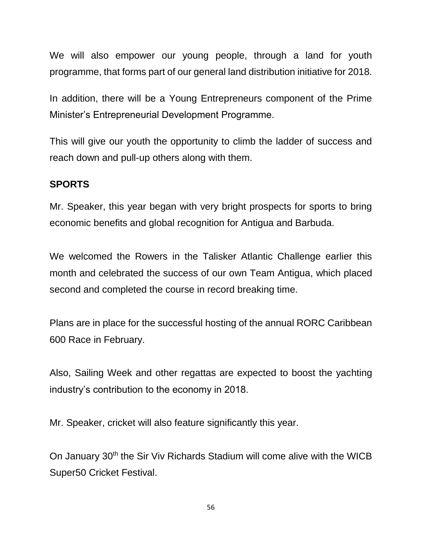We will also empower our young people, through a land for youth programme, that forms part of our general land distribution initiative for 2018.

In addition, there will be a Young Entrepreneurs component of the Prime Minister's Entrepreneurial Development Programme.

This will give our youth the opportunity to climb the ladder of success and reach down and pull-up others along with them.

### **SPORTS**

Mr. Speaker, this year began with very bright prospects for sports to bring economic benefits and global recognition for Antigua and Barbuda.

We welcomed the Rowers in the Talisker Atlantic Challenge earlier this month and celebrated the success of our own Team Antigua, which placed second and completed the course in record breaking time.

Plans are in place for the successful hosting of the annual RORC Caribbean 600 Race in February.

Also, Sailing Week and other regattas are expected to boost the yachting industry's contribution to the economy in 2018.

Mr. Speaker, cricket will also feature significantly this year.

On January 30<sup>th</sup> the Sir Viv Richards Stadium will come alive with the WICB Super50 Cricket Festival.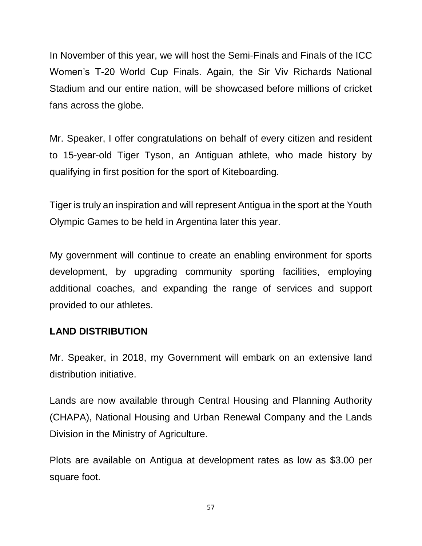In November of this year, we will host the Semi-Finals and Finals of the ICC Women's T-20 World Cup Finals. Again, the Sir Viv Richards National Stadium and our entire nation, will be showcased before millions of cricket fans across the globe.

Mr. Speaker, I offer congratulations on behalf of every citizen and resident to 15-year-old Tiger Tyson, an Antiguan athlete, who made history by qualifying in first position for the sport of Kiteboarding.

Tiger is truly an inspiration and will represent Antigua in the sport at the Youth Olympic Games to be held in Argentina later this year.

My government will continue to create an enabling environment for sports development, by upgrading community sporting facilities, employing additional coaches, and expanding the range of services and support provided to our athletes.

### **LAND DISTRIBUTION**

Mr. Speaker, in 2018, my Government will embark on an extensive land distribution initiative.

Lands are now available through Central Housing and Planning Authority (CHAPA), National Housing and Urban Renewal Company and the Lands Division in the Ministry of Agriculture.

Plots are available on Antigua at development rates as low as \$3.00 per square foot.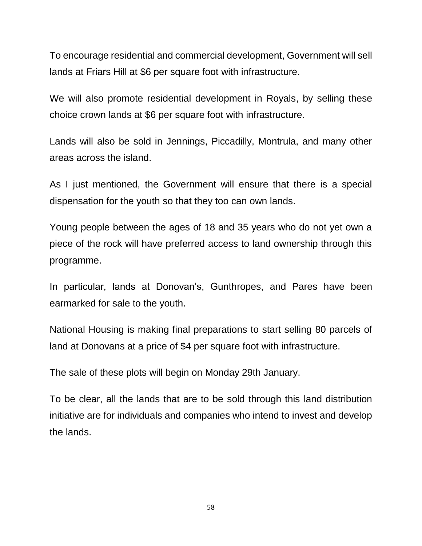To encourage residential and commercial development, Government will sell lands at Friars Hill at \$6 per square foot with infrastructure.

We will also promote residential development in Royals, by selling these choice crown lands at \$6 per square foot with infrastructure.

Lands will also be sold in Jennings, Piccadilly, Montrula, and many other areas across the island.

As I just mentioned, the Government will ensure that there is a special dispensation for the youth so that they too can own lands.

Young people between the ages of 18 and 35 years who do not yet own a piece of the rock will have preferred access to land ownership through this programme.

In particular, lands at Donovan's, Gunthropes, and Pares have been earmarked for sale to the youth.

National Housing is making final preparations to start selling 80 parcels of land at Donovans at a price of \$4 per square foot with infrastructure.

The sale of these plots will begin on Monday 29th January.

To be clear, all the lands that are to be sold through this land distribution initiative are for individuals and companies who intend to invest and develop the lands.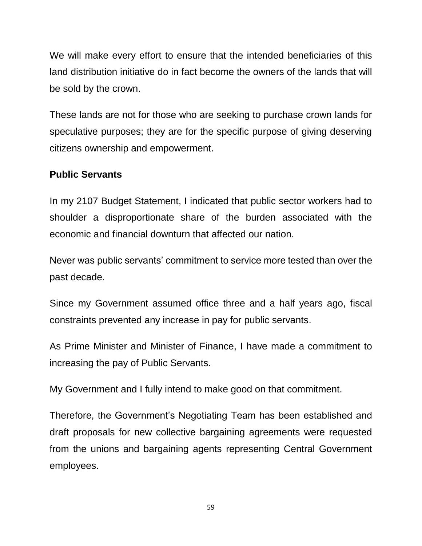We will make every effort to ensure that the intended beneficiaries of this land distribution initiative do in fact become the owners of the lands that will be sold by the crown.

These lands are not for those who are seeking to purchase crown lands for speculative purposes; they are for the specific purpose of giving deserving citizens ownership and empowerment.

#### **Public Servants**

In my 2107 Budget Statement, I indicated that public sector workers had to shoulder a disproportionate share of the burden associated with the economic and financial downturn that affected our nation.

Never was public servants' commitment to service more tested than over the past decade.

Since my Government assumed office three and a half years ago, fiscal constraints prevented any increase in pay for public servants.

As Prime Minister and Minister of Finance, I have made a commitment to increasing the pay of Public Servants.

My Government and I fully intend to make good on that commitment.

Therefore, the Government's Negotiating Team has been established and draft proposals for new collective bargaining agreements were requested from the unions and bargaining agents representing Central Government employees.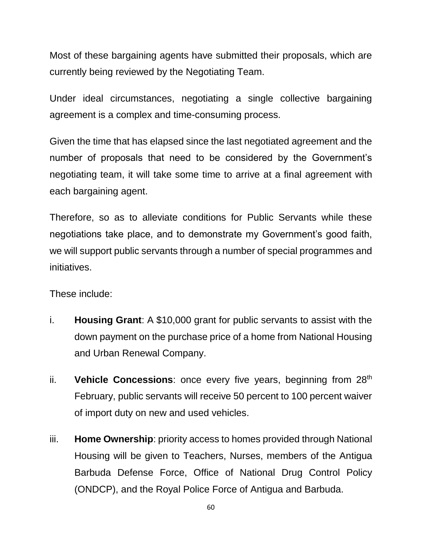Most of these bargaining agents have submitted their proposals, which are currently being reviewed by the Negotiating Team.

Under ideal circumstances, negotiating a single collective bargaining agreement is a complex and time-consuming process.

Given the time that has elapsed since the last negotiated agreement and the number of proposals that need to be considered by the Government's negotiating team, it will take some time to arrive at a final agreement with each bargaining agent.

Therefore, so as to alleviate conditions for Public Servants while these negotiations take place, and to demonstrate my Government's good faith, we will support public servants through a number of special programmes and initiatives.

These include:

- i. **Housing Grant**: A \$10,000 grant for public servants to assist with the down payment on the purchase price of a home from National Housing and Urban Renewal Company.
- ii. **Vehicle Concessions**: once every five years, beginning from 28<sup>th</sup> February, public servants will receive 50 percent to 100 percent waiver of import duty on new and used vehicles.
- iii. **Home Ownership**: priority access to homes provided through National Housing will be given to Teachers, Nurses, members of the Antigua Barbuda Defense Force, Office of National Drug Control Policy (ONDCP), and the Royal Police Force of Antigua and Barbuda.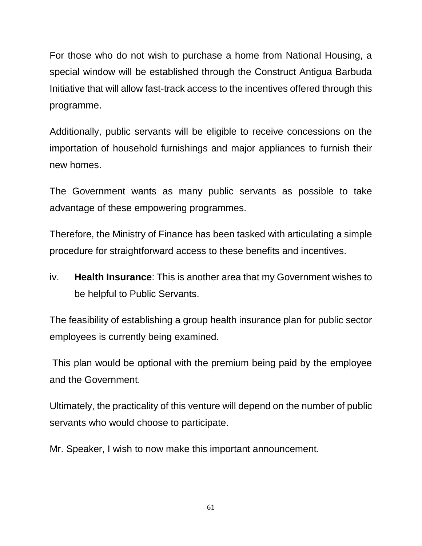For those who do not wish to purchase a home from National Housing, a special window will be established through the Construct Antigua Barbuda Initiative that will allow fast-track access to the incentives offered through this programme.

Additionally, public servants will be eligible to receive concessions on the importation of household furnishings and major appliances to furnish their new homes.

The Government wants as many public servants as possible to take advantage of these empowering programmes.

Therefore, the Ministry of Finance has been tasked with articulating a simple procedure for straightforward access to these benefits and incentives.

iv. **Health Insurance**: This is another area that my Government wishes to be helpful to Public Servants.

The feasibility of establishing a group health insurance plan for public sector employees is currently being examined.

This plan would be optional with the premium being paid by the employee and the Government.

Ultimately, the practicality of this venture will depend on the number of public servants who would choose to participate.

Mr. Speaker, I wish to now make this important announcement.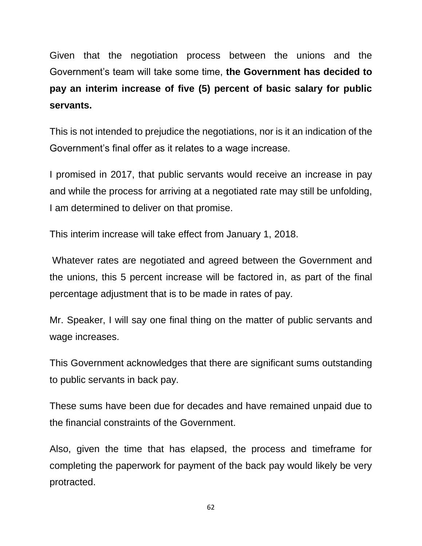Given that the negotiation process between the unions and the Government's team will take some time, **the Government has decided to pay an interim increase of five (5) percent of basic salary for public servants.** 

This is not intended to prejudice the negotiations, nor is it an indication of the Government's final offer as it relates to a wage increase.

I promised in 2017, that public servants would receive an increase in pay and while the process for arriving at a negotiated rate may still be unfolding, I am determined to deliver on that promise.

This interim increase will take effect from January 1, 2018.

Whatever rates are negotiated and agreed between the Government and the unions, this 5 percent increase will be factored in, as part of the final percentage adjustment that is to be made in rates of pay.

Mr. Speaker, I will say one final thing on the matter of public servants and wage increases.

This Government acknowledges that there are significant sums outstanding to public servants in back pay.

These sums have been due for decades and have remained unpaid due to the financial constraints of the Government.

Also, given the time that has elapsed, the process and timeframe for completing the paperwork for payment of the back pay would likely be very protracted.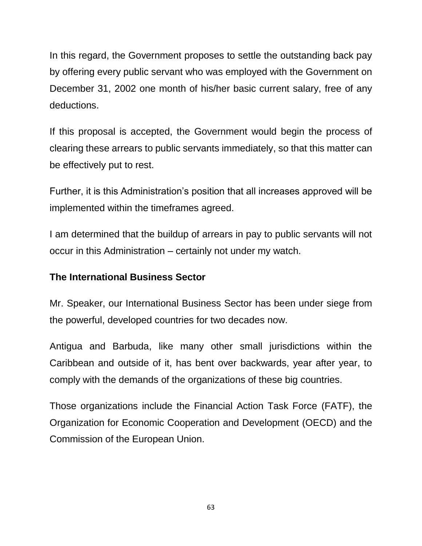In this regard, the Government proposes to settle the outstanding back pay by offering every public servant who was employed with the Government on December 31, 2002 one month of his/her basic current salary, free of any deductions.

If this proposal is accepted, the Government would begin the process of clearing these arrears to public servants immediately, so that this matter can be effectively put to rest.

Further, it is this Administration's position that all increases approved will be implemented within the timeframes agreed.

I am determined that the buildup of arrears in pay to public servants will not occur in this Administration – certainly not under my watch.

#### **The International Business Sector**

Mr. Speaker, our International Business Sector has been under siege from the powerful, developed countries for two decades now.

Antigua and Barbuda, like many other small jurisdictions within the Caribbean and outside of it, has bent over backwards, year after year, to comply with the demands of the organizations of these big countries.

Those organizations include the Financial Action Task Force (FATF), the Organization for Economic Cooperation and Development (OECD) and the Commission of the European Union.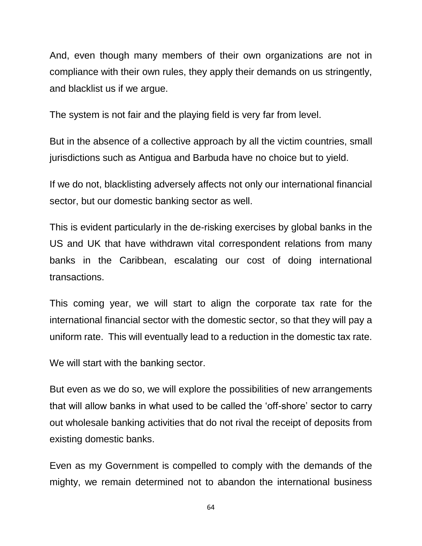And, even though many members of their own organizations are not in compliance with their own rules, they apply their demands on us stringently, and blacklist us if we argue.

The system is not fair and the playing field is very far from level.

But in the absence of a collective approach by all the victim countries, small jurisdictions such as Antigua and Barbuda have no choice but to yield.

If we do not, blacklisting adversely affects not only our international financial sector, but our domestic banking sector as well.

This is evident particularly in the de-risking exercises by global banks in the US and UK that have withdrawn vital correspondent relations from many banks in the Caribbean, escalating our cost of doing international transactions.

This coming year, we will start to align the corporate tax rate for the international financial sector with the domestic sector, so that they will pay a uniform rate. This will eventually lead to a reduction in the domestic tax rate.

We will start with the banking sector.

But even as we do so, we will explore the possibilities of new arrangements that will allow banks in what used to be called the 'off-shore' sector to carry out wholesale banking activities that do not rival the receipt of deposits from existing domestic banks.

Even as my Government is compelled to comply with the demands of the mighty, we remain determined not to abandon the international business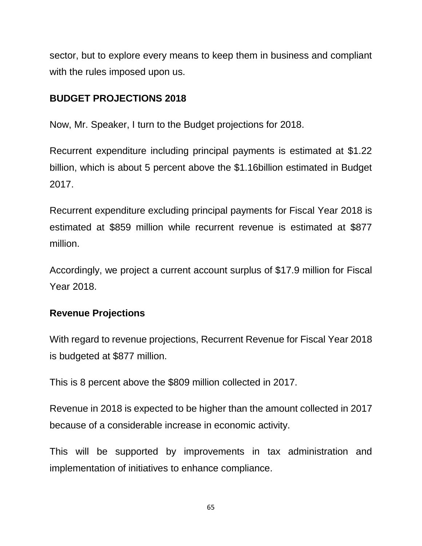sector, but to explore every means to keep them in business and compliant with the rules imposed upon us.

# **BUDGET PROJECTIONS 2018**

Now, Mr. Speaker, I turn to the Budget projections for 2018.

Recurrent expenditure including principal payments is estimated at \$1.22 billion, which is about 5 percent above the \$1.16billion estimated in Budget 2017.

Recurrent expenditure excluding principal payments for Fiscal Year 2018 is estimated at \$859 million while recurrent revenue is estimated at \$877 million.

Accordingly, we project a current account surplus of \$17.9 million for Fiscal Year 2018.

### **Revenue Projections**

With regard to revenue projections, Recurrent Revenue for Fiscal Year 2018 is budgeted at \$877 million.

This is 8 percent above the \$809 million collected in 2017.

Revenue in 2018 is expected to be higher than the amount collected in 2017 because of a considerable increase in economic activity.

This will be supported by improvements in tax administration and implementation of initiatives to enhance compliance.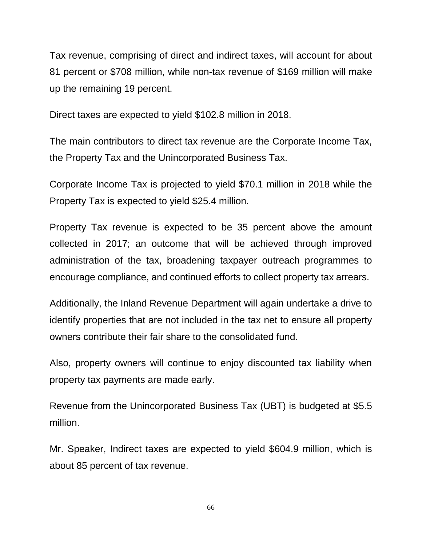Tax revenue, comprising of direct and indirect taxes, will account for about 81 percent or \$708 million, while non-tax revenue of \$169 million will make up the remaining 19 percent.

Direct taxes are expected to yield \$102.8 million in 2018.

The main contributors to direct tax revenue are the Corporate Income Tax, the Property Tax and the Unincorporated Business Tax.

Corporate Income Tax is projected to yield \$70.1 million in 2018 while the Property Tax is expected to yield \$25.4 million.

Property Tax revenue is expected to be 35 percent above the amount collected in 2017; an outcome that will be achieved through improved administration of the tax, broadening taxpayer outreach programmes to encourage compliance, and continued efforts to collect property tax arrears.

Additionally, the Inland Revenue Department will again undertake a drive to identify properties that are not included in the tax net to ensure all property owners contribute their fair share to the consolidated fund.

Also, property owners will continue to enjoy discounted tax liability when property tax payments are made early.

Revenue from the Unincorporated Business Tax (UBT) is budgeted at \$5.5 million.

Mr. Speaker, Indirect taxes are expected to yield \$604.9 million, which is about 85 percent of tax revenue.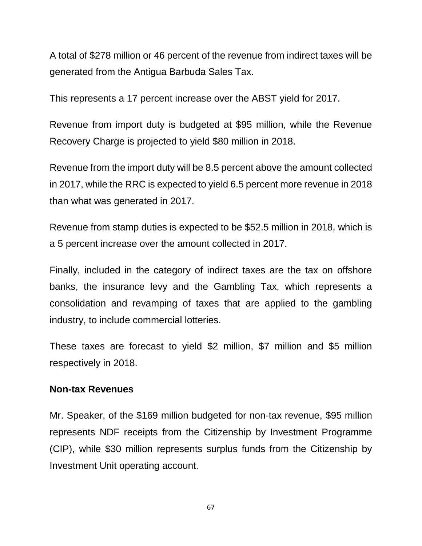A total of \$278 million or 46 percent of the revenue from indirect taxes will be generated from the Antigua Barbuda Sales Tax.

This represents a 17 percent increase over the ABST yield for 2017.

Revenue from import duty is budgeted at \$95 million, while the Revenue Recovery Charge is projected to yield \$80 million in 2018.

Revenue from the import duty will be 8.5 percent above the amount collected in 2017, while the RRC is expected to yield 6.5 percent more revenue in 2018 than what was generated in 2017.

Revenue from stamp duties is expected to be \$52.5 million in 2018, which is a 5 percent increase over the amount collected in 2017.

Finally, included in the category of indirect taxes are the tax on offshore banks, the insurance levy and the Gambling Tax, which represents a consolidation and revamping of taxes that are applied to the gambling industry, to include commercial lotteries.

These taxes are forecast to yield \$2 million, \$7 million and \$5 million respectively in 2018.

#### **Non-tax Revenues**

Mr. Speaker, of the \$169 million budgeted for non-tax revenue, \$95 million represents NDF receipts from the Citizenship by Investment Programme (CIP), while \$30 million represents surplus funds from the Citizenship by Investment Unit operating account.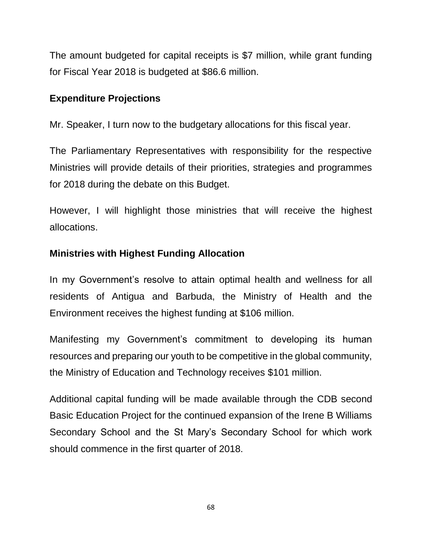The amount budgeted for capital receipts is \$7 million, while grant funding for Fiscal Year 2018 is budgeted at \$86.6 million.

### **Expenditure Projections**

Mr. Speaker, I turn now to the budgetary allocations for this fiscal year.

The Parliamentary Representatives with responsibility for the respective Ministries will provide details of their priorities, strategies and programmes for 2018 during the debate on this Budget.

However, I will highlight those ministries that will receive the highest allocations.

### **Ministries with Highest Funding Allocation**

In my Government's resolve to attain optimal health and wellness for all residents of Antigua and Barbuda, the Ministry of Health and the Environment receives the highest funding at \$106 million.

Manifesting my Government's commitment to developing its human resources and preparing our youth to be competitive in the global community, the Ministry of Education and Technology receives \$101 million.

Additional capital funding will be made available through the CDB second Basic Education Project for the continued expansion of the Irene B Williams Secondary School and the St Mary's Secondary School for which work should commence in the first quarter of 2018.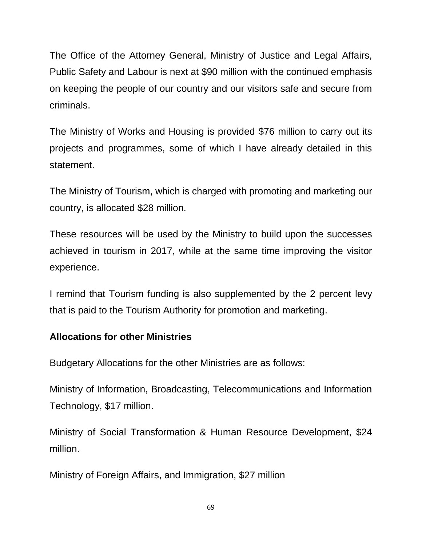The Office of the Attorney General, Ministry of Justice and Legal Affairs, Public Safety and Labour is next at \$90 million with the continued emphasis on keeping the people of our country and our visitors safe and secure from criminals.

The Ministry of Works and Housing is provided \$76 million to carry out its projects and programmes, some of which I have already detailed in this statement.

The Ministry of Tourism, which is charged with promoting and marketing our country, is allocated \$28 million.

These resources will be used by the Ministry to build upon the successes achieved in tourism in 2017, while at the same time improving the visitor experience.

I remind that Tourism funding is also supplemented by the 2 percent levy that is paid to the Tourism Authority for promotion and marketing.

### **Allocations for other Ministries**

Budgetary Allocations for the other Ministries are as follows:

Ministry of Information, Broadcasting, Telecommunications and Information Technology, \$17 million.

Ministry of Social Transformation & Human Resource Development, \$24 million.

Ministry of Foreign Affairs, and Immigration, \$27 million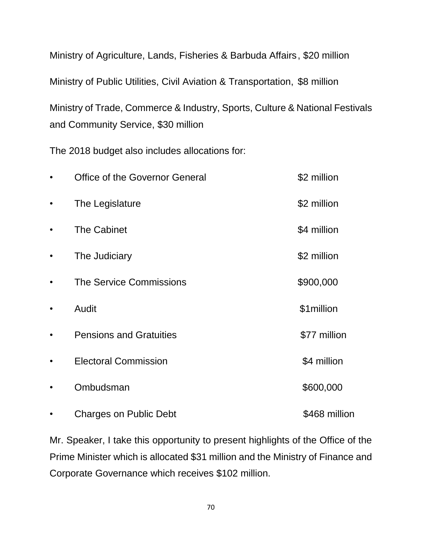Ministry of Agriculture, Lands, Fisheries & Barbuda Affairs, \$20 million Ministry of Public Utilities, Civil Aviation & Transportation, \$8 million Ministry of Trade, Commerce & Industry, Sports, Culture & National Festivals and Community Service, \$30 million

The 2018 budget also includes allocations for:

|           | <b>Office of the Governor General</b> | \$2 million   |
|-----------|---------------------------------------|---------------|
| $\bullet$ | The Legislature                       | \$2 million   |
| $\bullet$ | <b>The Cabinet</b>                    | \$4 million   |
| $\bullet$ | The Judiciary                         | \$2 million   |
| $\bullet$ | <b>The Service Commissions</b>        | \$900,000     |
| $\bullet$ | Audit                                 | \$1million    |
|           | <b>Pensions and Gratuities</b>        | \$77 million  |
|           | <b>Electoral Commission</b>           | \$4 million   |
|           | Ombudsman                             | \$600,000     |
|           | <b>Charges on Public Debt</b>         | \$468 million |

Mr. Speaker, I take this opportunity to present highlights of the Office of the Prime Minister which is allocated \$31 million and the Ministry of Finance and Corporate Governance which receives \$102 million.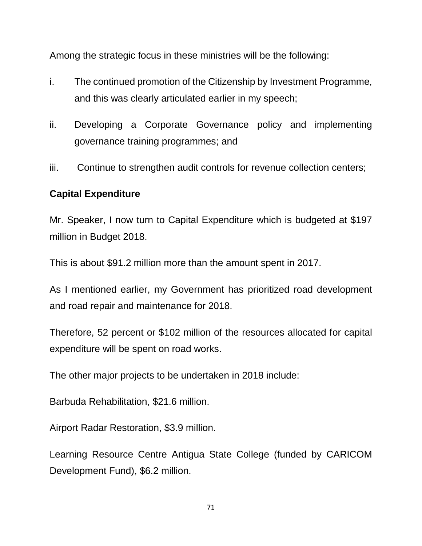Among the strategic focus in these ministries will be the following:

- i. The continued promotion of the Citizenship by Investment Programme, and this was clearly articulated earlier in my speech;
- ii. Developing a Corporate Governance policy and implementing governance training programmes; and
- iii. Continue to strengthen audit controls for revenue collection centers;

### **Capital Expenditure**

Mr. Speaker, I now turn to Capital Expenditure which is budgeted at \$197 million in Budget 2018.

This is about \$91.2 million more than the amount spent in 2017.

As I mentioned earlier, my Government has prioritized road development and road repair and maintenance for 2018.

Therefore, 52 percent or \$102 million of the resources allocated for capital expenditure will be spent on road works.

The other major projects to be undertaken in 2018 include:

Barbuda Rehabilitation, \$21.6 million.

Airport Radar Restoration, \$3.9 million.

Learning Resource Centre Antigua State College (funded by CARICOM Development Fund), \$6.2 million.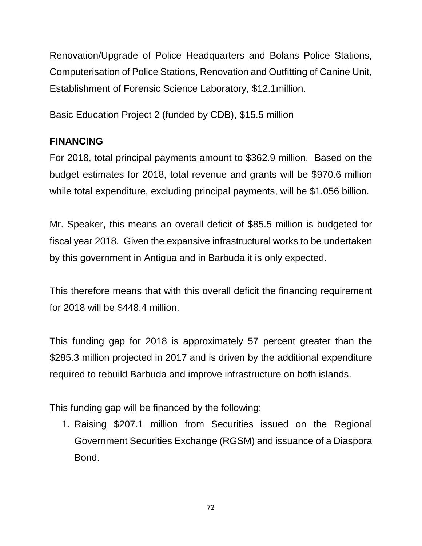Renovation/Upgrade of Police Headquarters and Bolans Police Stations, Computerisation of Police Stations, Renovation and Outfitting of Canine Unit, Establishment of Forensic Science Laboratory, \$12.1million.

Basic Education Project 2 (funded by CDB), \$15.5 million

# **FINANCING**

For 2018, total principal payments amount to \$362.9 million. Based on the budget estimates for 2018, total revenue and grants will be \$970.6 million while total expenditure, excluding principal payments, will be \$1.056 billion.

Mr. Speaker, this means an overall deficit of \$85.5 million is budgeted for fiscal year 2018. Given the expansive infrastructural works to be undertaken by this government in Antigua and in Barbuda it is only expected.

This therefore means that with this overall deficit the financing requirement for 2018 will be \$448.4 million.

This funding gap for 2018 is approximately 57 percent greater than the \$285.3 million projected in 2017 and is driven by the additional expenditure required to rebuild Barbuda and improve infrastructure on both islands.

This funding gap will be financed by the following:

1. Raising \$207.1 million from Securities issued on the Regional Government Securities Exchange (RGSM) and issuance of a Diaspora Bond.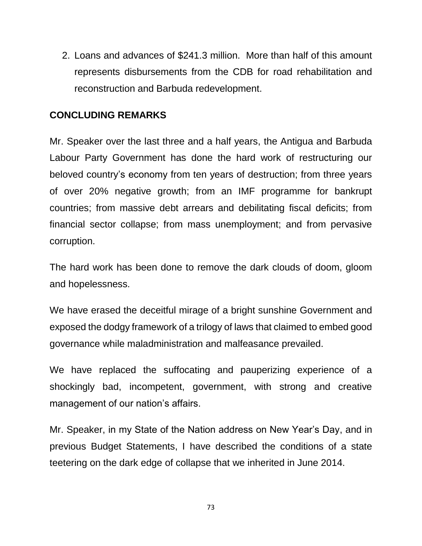2. Loans and advances of \$241.3 million. More than half of this amount represents disbursements from the CDB for road rehabilitation and reconstruction and Barbuda redevelopment.

## **CONCLUDING REMARKS**

Mr. Speaker over the last three and a half years, the Antigua and Barbuda Labour Party Government has done the hard work of restructuring our beloved country's economy from ten years of destruction; from three years of over 20% negative growth; from an IMF programme for bankrupt countries; from massive debt arrears and debilitating fiscal deficits; from financial sector collapse; from mass unemployment; and from pervasive corruption.

The hard work has been done to remove the dark clouds of doom, gloom and hopelessness.

We have erased the deceitful mirage of a bright sunshine Government and exposed the dodgy framework of a trilogy of laws that claimed to embed good governance while maladministration and malfeasance prevailed.

We have replaced the suffocating and pauperizing experience of a shockingly bad, incompetent, government, with strong and creative management of our nation's affairs.

Mr. Speaker, in my State of the Nation address on New Year's Day, and in previous Budget Statements, I have described the conditions of a state teetering on the dark edge of collapse that we inherited in June 2014.

73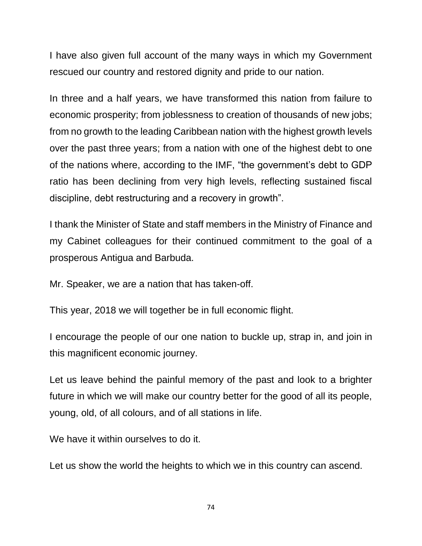I have also given full account of the many ways in which my Government rescued our country and restored dignity and pride to our nation.

In three and a half years, we have transformed this nation from failure to economic prosperity; from joblessness to creation of thousands of new jobs; from no growth to the leading Caribbean nation with the highest growth levels over the past three years; from a nation with one of the highest debt to one of the nations where, according to the IMF, "the government's debt to GDP ratio has been declining from very high levels, reflecting sustained fiscal discipline, debt restructuring and a recovery in growth".

I thank the Minister of State and staff members in the Ministry of Finance and my Cabinet colleagues for their continued commitment to the goal of a prosperous Antigua and Barbuda.

Mr. Speaker, we are a nation that has taken-off.

This year, 2018 we will together be in full economic flight.

I encourage the people of our one nation to buckle up, strap in, and join in this magnificent economic journey.

Let us leave behind the painful memory of the past and look to a brighter future in which we will make our country better for the good of all its people, young, old, of all colours, and of all stations in life.

We have it within ourselves to do it.

Let us show the world the heights to which we in this country can ascend.